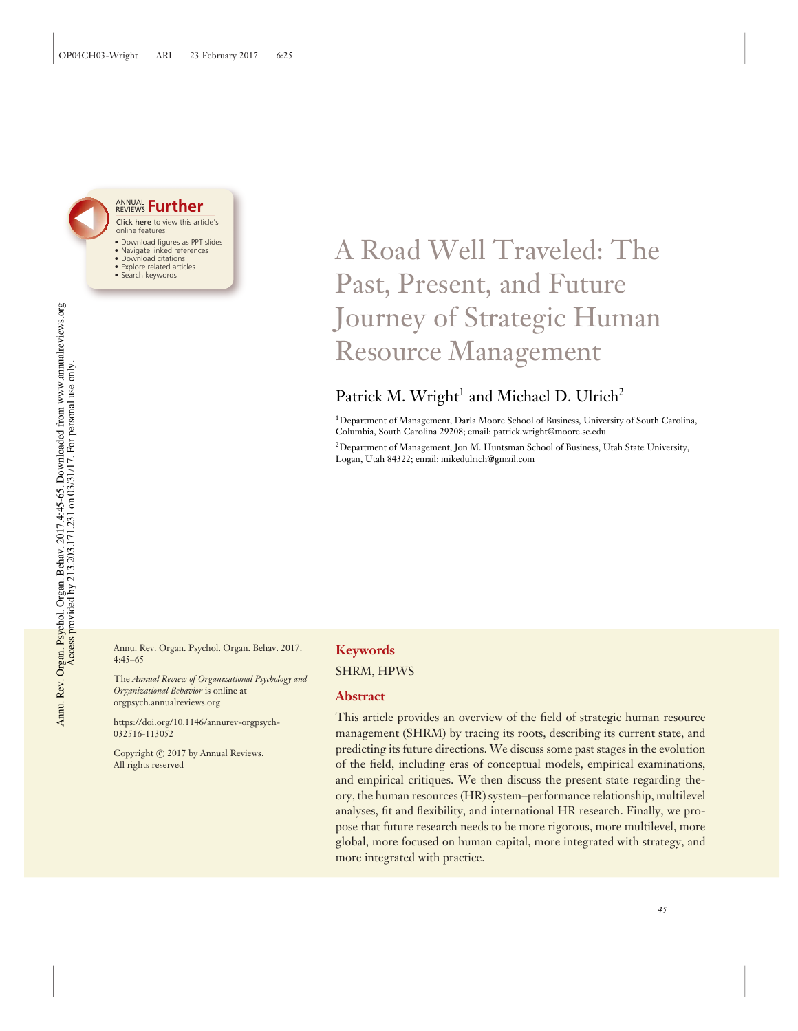

#### **ANNUAL Further** Click here to view this article's

- online features:
- · Download figures as PPT slides • Navigate linked references
- Download citations
- · Explore related articles
- · Search keywords

# A Road Well Traveled: The Past, Present, and Future Journey of Strategic Human Resource Management

## Patrick M. Wright<sup>1</sup> and Michael D. Ulrich<sup>2</sup>

<sup>1</sup>Department of Management, Darla Moore School of Business, University of South Carolina, Columbia, South Carolina 29208; email: patrick.wright@moore.sc.edu

<sup>2</sup>Department of Management, Jon M. Huntsman School of Business, Utah State University, Logan, Utah 84322; email: mikedulrich@gmail.com

Annu. Rev. Organ. Psychol. Organ. Behav. 2017.  $4:45 - 65$ 

The Annual Review of Organizational Psychology and Organizational Behavior is online at orgpsych.annualreviews.org

https://doi.org/10.1146/annurev-orgpsych-032516-113052

Copyright (c) 2017 by Annual Reviews. All rights reserved

### **Keywords SHRM, HPWS**

#### **Abstract**

This article provides an overview of the field of strategic human resource management (SHRM) by tracing its roots, describing its current state, and predicting its future directions. We discuss some past stages in the evolution of the field, including eras of conceptual models, empirical examinations, and empirical critiques. We then discuss the present state regarding theory, the human resources (HR) system-performance relationship, multilevel analyses, fit and flexibility, and international HR research. Finally, we propose that future research needs to be more rigorous, more multilevel, more global, more focused on human capital, more integrated with strategy, and more integrated with practice.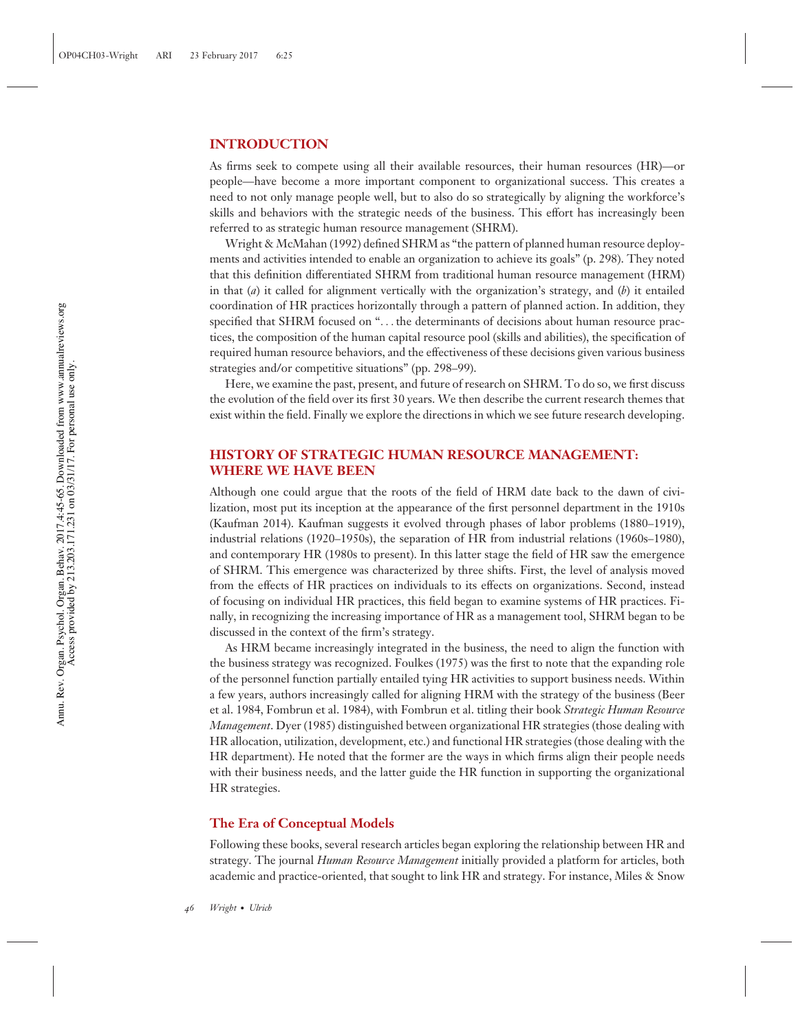#### **INTRODUCTION**

As firms seek to compete using all their available resources, their human resources (HR)—or people—have become a more important component to organizational success. This creates a need to not only manage people well, but to also do so strategically by aligning the workforce's skills and behaviors with the strategic needs of the business. This effort has increasingly been referred to as strategic human resource management (SHRM).

Wright & McMahan (1992) defined SHRM as "the pattern of planned human resource deployments and activities intended to enable an organization to achieve its goals" (p. 298). They noted that this definition differentiated SHRM from traditional human resource management (HRM) in that (*a*) it called for alignment vertically with the organization's strategy, and (*b*) it entailed coordination of HR practices horizontally through a pattern of planned action. In addition, they specified that SHRM focused on "*...* the determinants of decisions about human resource practices, the composition of the human capital resource pool (skills and abilities), the specification of required human resource behaviors, and the effectiveness of these decisions given various business strategies and/or competitive situations" (pp. 298–99).

Here, we examine the past, present, and future of research on SHRM. To do so, we first discuss the evolution of the field over its first 30 years. We then describe the current research themes that exist within the field. Finally we explore the directions in which we see future research developing.

#### **HISTORY OF STRATEGIC HUMAN RESOURCE MANAGEMENT: WHERE WE HAVE BEEN**

Although one could argue that the roots of the field of HRM date back to the dawn of civilization, most put its inception at the appearance of the first personnel department in the 1910s (Kaufman 2014). Kaufman suggests it evolved through phases of labor problems (1880–1919), industrial relations (1920–1950s), the separation of HR from industrial relations (1960s–1980), and contemporary HR (1980s to present). In this latter stage the field of HR saw the emergence of SHRM. This emergence was characterized by three shifts. First, the level of analysis moved from the effects of HR practices on individuals to its effects on organizations. Second, instead of focusing on individual HR practices, this field began to examine systems of HR practices. Finally, in recognizing the increasing importance of HR as a management tool, SHRM began to be discussed in the context of the firm's strategy.

As HRM became increasingly integrated in the business, the need to align the function with the business strategy was recognized. Foulkes (1975) was the first to note that the expanding role of the personnel function partially entailed tying HR activities to support business needs. Within a few years, authors increasingly called for aligning HRM with the strategy of the business (Beer et al. 1984, Fombrun et al. 1984), with Fombrun et al. titling their book *Strategic Human Resource Management*. Dyer (1985) distinguished between organizational HR strategies (those dealing with HR allocation, utilization, development, etc.) and functional HR strategies (those dealing with the HR department). He noted that the former are the ways in which firms align their people needs with their business needs, and the latter guide the HR function in supporting the organizational HR strategies.

#### **The Era of Conceptual Models**

Following these books, several research articles began exploring the relationship between HR and strategy. The journal *Human Resource Management* initially provided a platform for articles, both academic and practice-oriented, that sought to link HR and strategy. For instance, Miles & Snow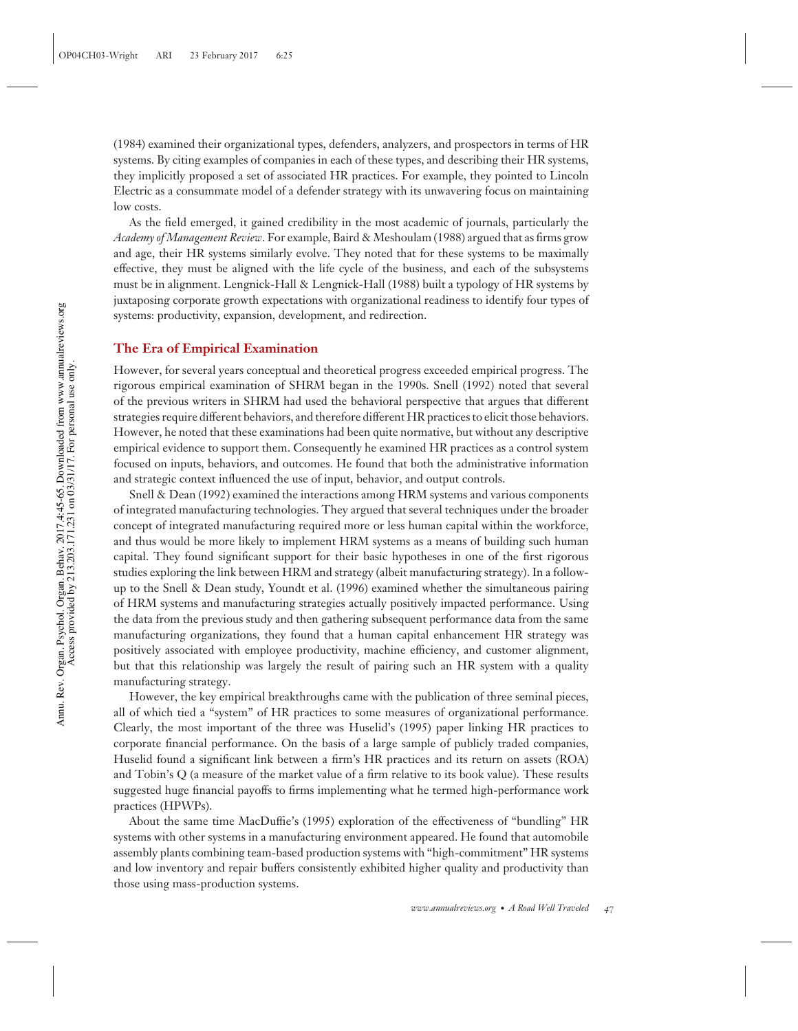(1984) examined their organizational types, defenders, analyzers, and prospectors in terms of HR systems. By citing examples of companies in each of these types, and describing their HR systems, they implicitly proposed a set of associated HR practices. For example, they pointed to Lincoln Electric as a consummate model of a defender strategy with its unwavering focus on maintaining low costs.

As the field emerged, it gained credibility in the most academic of journals, particularly the *Academy of Management Review*. For example, Baird & Meshoulam (1988) argued that as firms grow and age, their HR systems similarly evolve. They noted that for these systems to be maximally effective, they must be aligned with the life cycle of the business, and each of the subsystems must be in alignment. Lengnick-Hall & Lengnick-Hall (1988) built a typology of HR systems by juxtaposing corporate growth expectations with organizational readiness to identify four types of systems: productivity, expansion, development, and redirection.

#### **The Era of Empirical Examination**

However, for several years conceptual and theoretical progress exceeded empirical progress. The rigorous empirical examination of SHRM began in the 1990s. Snell (1992) noted that several of the previous writers in SHRM had used the behavioral perspective that argues that different strategies require different behaviors, and therefore different HR practices to elicit those behaviors. However, he noted that these examinations had been quite normative, but without any descriptive empirical evidence to support them. Consequently he examined HR practices as a control system focused on inputs, behaviors, and outcomes. He found that both the administrative information and strategic context influenced the use of input, behavior, and output controls.

Snell & Dean (1992) examined the interactions among HRM systems and various components of integrated manufacturing technologies. They argued that several techniques under the broader concept of integrated manufacturing required more or less human capital within the workforce, and thus would be more likely to implement HRM systems as a means of building such human capital. They found significant support for their basic hypotheses in one of the first rigorous studies exploring the link between HRM and strategy (albeit manufacturing strategy). In a followup to the Snell & Dean study, Youndt et al. (1996) examined whether the simultaneous pairing of HRM systems and manufacturing strategies actually positively impacted performance. Using the data from the previous study and then gathering subsequent performance data from the same manufacturing organizations, they found that a human capital enhancement HR strategy was positively associated with employee productivity, machine efficiency, and customer alignment, but that this relationship was largely the result of pairing such an HR system with a quality manufacturing strategy.

However, the key empirical breakthroughs came with the publication of three seminal pieces, all of which tied a "system" of HR practices to some measures of organizational performance. Clearly, the most important of the three was Huselid's (1995) paper linking HR practices to corporate financial performance. On the basis of a large sample of publicly traded companies, Huselid found a significant link between a firm's HR practices and its return on assets (ROA) and Tobin's Q (a measure of the market value of a firm relative to its book value). These results suggested huge financial payoffs to firms implementing what he termed high-performance work practices (HPWPs).

About the same time MacDuffie's (1995) exploration of the effectiveness of "bundling" HR systems with other systems in a manufacturing environment appeared. He found that automobile assembly plants combining team-based production systems with "high-commitment" HR systems and low inventory and repair buffers consistently exhibited higher quality and productivity than those using mass-production systems.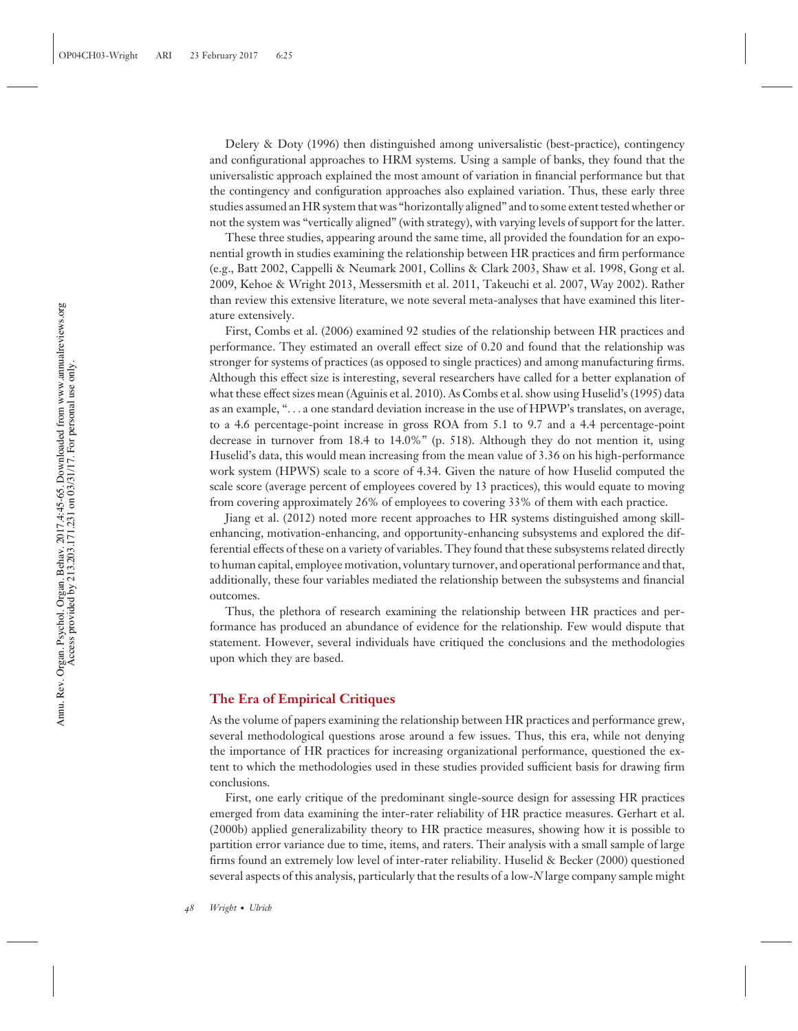Delery & Doty (1996) then distinguished among universalistic (best-practice), contingency and configurational approaches to HRM systems. Using a sample of banks, they found that the universalistic approach explained the most amount of variation in financial performance but that the contingency and configuration approaches also explained variation. Thus, these early three studies assumed an HR system that was "horizontally aligned" and to some extent tested whether or not the system was "vertically aligned" (with strategy), with varying levels of support for the latter.

These three studies, appearing around the same time, all provided the foundation for an exponential growth in studies examining the relationship between HR practices and firm performance (e.g., Batt 2002, Cappelli & Neumark 2001, Collins & Clark 2003, Shaw et al. 1998, Gong et al. 2009, Kehoe & Wright 2013, Messersmith et al. 2011, Takeuchi et al. 2007, Way 2002). Rather than review this extensive literature, we note several meta-analyses that have examined this literature extensively.

First, Combs et al. (2006) examined 92 studies of the relationship between HR practices and performance. They estimated an overall effect size of 0.20 and found that the relationship was stronger for systems of practices (as opposed to single practices) and among manufacturing firms. Although this effect size is interesting, several researchers have called for a better explanation of what these effect sizes mean (Aguinis et al. 2010). As Combs et al. show using Huselid's (1995) data as an example, "*...* a one standard deviation increase in the use of HPWP's translates, on average, to a 4.6 percentage-point increase in gross ROA from 5.1 to 9.7 and a 4.4 percentage-point decrease in turnover from 18.4 to 14.0%" (p. 518). Although they do not mention it, using Huselid's data, this would mean increasing from the mean value of 3.36 on his high-performance work system (HPWS) scale to a score of 4.34. Given the nature of how Huselid computed the scale score (average percent of employees covered by 13 practices), this would equate to moving from covering approximately 26% of employees to covering 33% of them with each practice.

Jiang et al. (2012) noted more recent approaches to HR systems distinguished among skillenhancing, motivation-enhancing, and opportunity-enhancing subsystems and explored the differential effects of these on a variety of variables. They found that these subsystems related directly to human capital, employee motivation, voluntary turnover, and operational performance and that, additionally, these four variables mediated the relationship between the subsystems and financial outcomes.

Thus, the plethora of research examining the relationship between HR practices and performance has produced an abundance of evidence for the relationship. Few would dispute that statement. However, several individuals have critiqued the conclusions and the methodologies upon which they are based.

#### **The Era of Empirical Critiques**

As the volume of papers examining the relationship between HR practices and performance grew, several methodological questions arose around a few issues. Thus, this era, while not denying the importance of HR practices for increasing organizational performance, questioned the extent to which the methodologies used in these studies provided sufficient basis for drawing firm conclusions.

First, one early critique of the predominant single-source design for assessing HR practices emerged from data examining the inter-rater reliability of HR practice measures. Gerhart et al. (2000b) applied generalizability theory to HR practice measures, showing how it is possible to partition error variance due to time, items, and raters. Their analysis with a small sample of large firms found an extremely low level of inter-rater reliability. Huselid & Becker (2000) questioned several aspects of this analysis, particularly that the results of a low-*N* large company sample might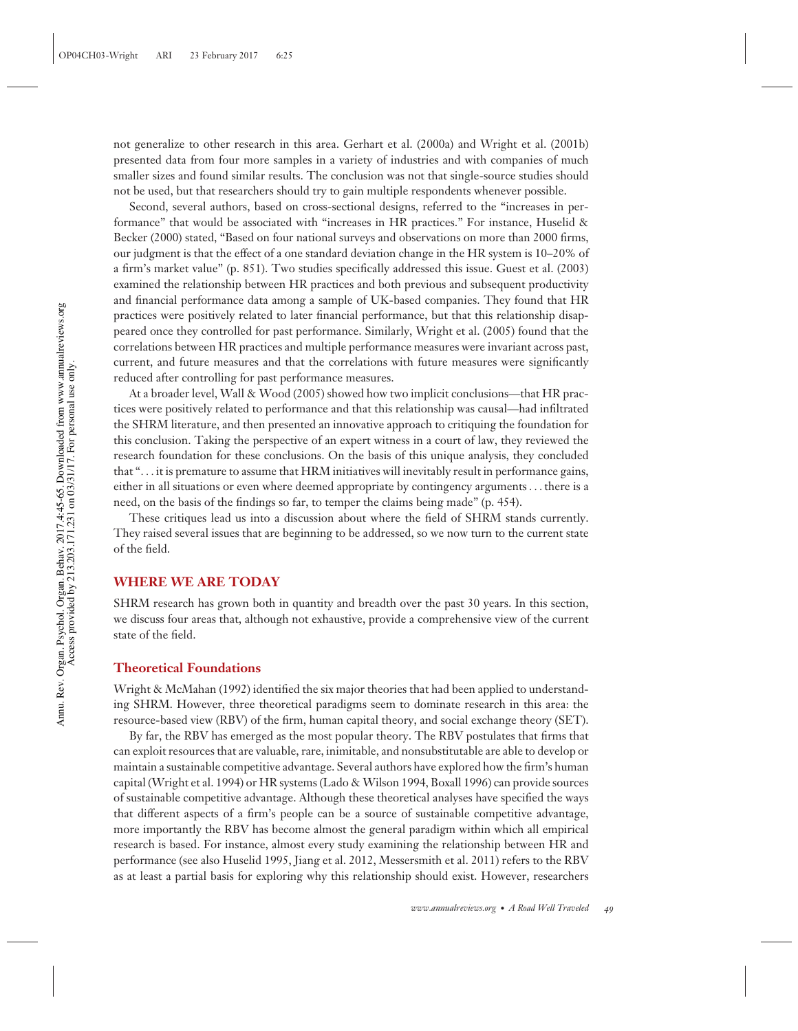not generalize to other research in this area. Gerhart et al. (2000a) and Wright et al. (2001b) presented data from four more samples in a variety of industries and with companies of much smaller sizes and found similar results. The conclusion was not that single-source studies should not be used, but that researchers should try to gain multiple respondents whenever possible.

Second, several authors, based on cross-sectional designs, referred to the "increases in performance" that would be associated with "increases in HR practices." For instance, Huselid & Becker (2000) stated, "Based on four national surveys and observations on more than 2000 firms, our judgment is that the effect of a one standard deviation change in the HR system is 10–20% of a firm's market value" (p. 851). Two studies specifically addressed this issue. Guest et al. (2003) examined the relationship between HR practices and both previous and subsequent productivity and financial performance data among a sample of UK-based companies. They found that HR practices were positively related to later financial performance, but that this relationship disappeared once they controlled for past performance. Similarly, Wright et al. (2005) found that the correlations between HR practices and multiple performance measures were invariant across past, current, and future measures and that the correlations with future measures were significantly reduced after controlling for past performance measures.

At a broader level, Wall & Wood (2005) showed how two implicit conclusions—that HR practices were positively related to performance and that this relationship was causal—had infiltrated the SHRM literature, and then presented an innovative approach to critiquing the foundation for this conclusion. Taking the perspective of an expert witness in a court of law, they reviewed the research foundation for these conclusions. On the basis of this unique analysis, they concluded that "*...* it is premature to assume that HRM initiatives will inevitably result in performance gains, either in all situations or even where deemed appropriate by contingency arguments*...* there is a need, on the basis of the findings so far, to temper the claims being made" (p. 454).

These critiques lead us into a discussion about where the field of SHRM stands currently. They raised several issues that are beginning to be addressed, so we now turn to the current state of the field.

#### **WHERE WE ARE TODAY**

SHRM research has grown both in quantity and breadth over the past 30 years. In this section, we discuss four areas that, although not exhaustive, provide a comprehensive view of the current state of the field.

#### **Theoretical Foundations**

Wright & McMahan (1992) identified the six major theories that had been applied to understanding SHRM. However, three theoretical paradigms seem to dominate research in this area: the resource-based view (RBV) of the firm, human capital theory, and social exchange theory (SET).

By far, the RBV has emerged as the most popular theory. The RBV postulates that firms that can exploit resources that are valuable, rare, inimitable, and nonsubstitutable are able to develop or maintain a sustainable competitive advantage. Several authors have explored how the firm's human capital (Wright et al. 1994) or HR systems (Lado & Wilson 1994, Boxall 1996) can provide sources of sustainable competitive advantage. Although these theoretical analyses have specified the ways that different aspects of a firm's people can be a source of sustainable competitive advantage, more importantly the RBV has become almost the general paradigm within which all empirical research is based. For instance, almost every study examining the relationship between HR and performance (see also Huselid 1995, Jiang et al. 2012, Messersmith et al. 2011) refers to the RBV as at least a partial basis for exploring why this relationship should exist. However, researchers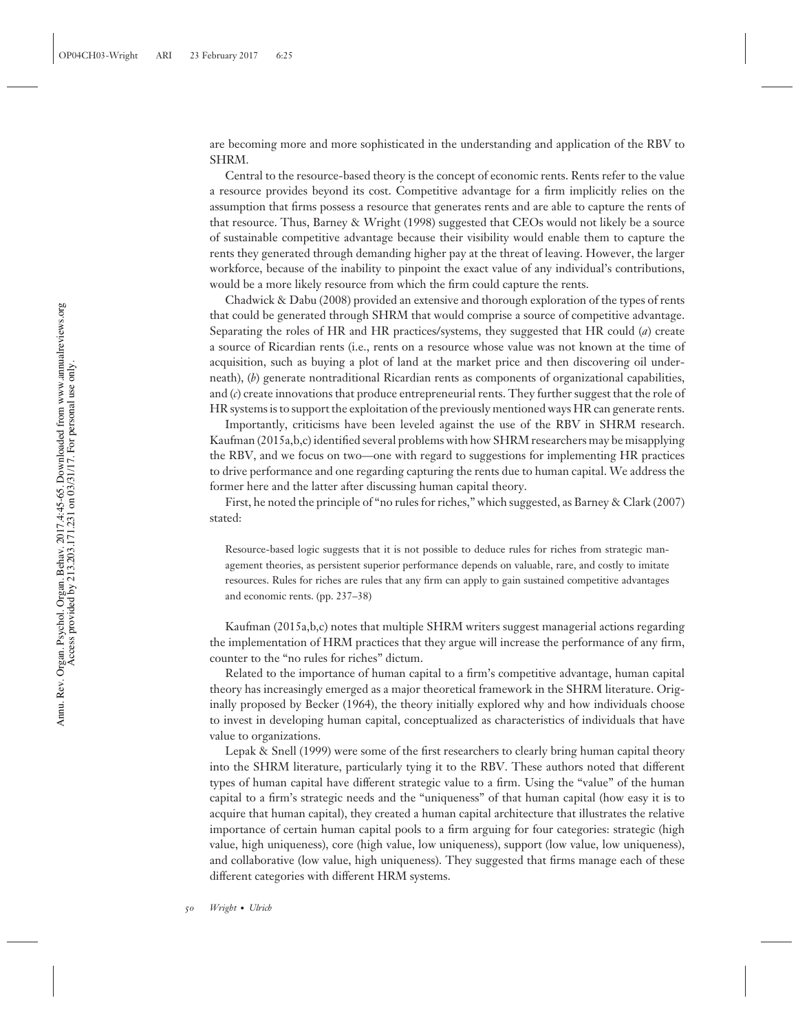are becoming more and more sophisticated in the understanding and application of the RBV to SHRM.

Central to the resource-based theory is the concept of economic rents. Rents refer to the value a resource provides beyond its cost. Competitive advantage for a firm implicitly relies on the assumption that firms possess a resource that generates rents and are able to capture the rents of that resource. Thus, Barney & Wright (1998) suggested that CEOs would not likely be a source of sustainable competitive advantage because their visibility would enable them to capture the rents they generated through demanding higher pay at the threat of leaving. However, the larger workforce, because of the inability to pinpoint the exact value of any individual's contributions, would be a more likely resource from which the firm could capture the rents.

Chadwick & Dabu (2008) provided an extensive and thorough exploration of the types of rents that could be generated through SHRM that would comprise a source of competitive advantage. Separating the roles of HR and HR practices/systems, they suggested that HR could (*a*) create a source of Ricardian rents (i.e., rents on a resource whose value was not known at the time of acquisition, such as buying a plot of land at the market price and then discovering oil underneath), (*b*) generate nontraditional Ricardian rents as components of organizational capabilities, and (*c*) create innovations that produce entrepreneurial rents. They further suggest that the role of HR systems is to support the exploitation of the previously mentioned ways HR can generate rents.

Importantly, criticisms have been leveled against the use of the RBV in SHRM research. Kaufman (2015a,b,c) identified several problems with how SHRM researchers may be misapplying the RBV, and we focus on two—one with regard to suggestions for implementing HR practices to drive performance and one regarding capturing the rents due to human capital. We address the former here and the latter after discussing human capital theory.

First, he noted the principle of "no rules for riches," which suggested, as Barney & Clark (2007) stated:

Resource-based logic suggests that it is not possible to deduce rules for riches from strategic management theories, as persistent superior performance depends on valuable, rare, and costly to imitate resources. Rules for riches are rules that any firm can apply to gain sustained competitive advantages and economic rents. (pp. 237–38)

Kaufman (2015a,b,c) notes that multiple SHRM writers suggest managerial actions regarding the implementation of HRM practices that they argue will increase the performance of any firm, counter to the "no rules for riches" dictum.

Related to the importance of human capital to a firm's competitive advantage, human capital theory has increasingly emerged as a major theoretical framework in the SHRM literature. Originally proposed by Becker (1964), the theory initially explored why and how individuals choose to invest in developing human capital, conceptualized as characteristics of individuals that have value to organizations.

Lepak & Snell (1999) were some of the first researchers to clearly bring human capital theory into the SHRM literature, particularly tying it to the RBV. These authors noted that different types of human capital have different strategic value to a firm. Using the "value" of the human capital to a firm's strategic needs and the "uniqueness" of that human capital (how easy it is to acquire that human capital), they created a human capital architecture that illustrates the relative importance of certain human capital pools to a firm arguing for four categories: strategic (high value, high uniqueness), core (high value, low uniqueness), support (low value, low uniqueness), and collaborative (low value, high uniqueness). They suggested that firms manage each of these different categories with different HRM systems.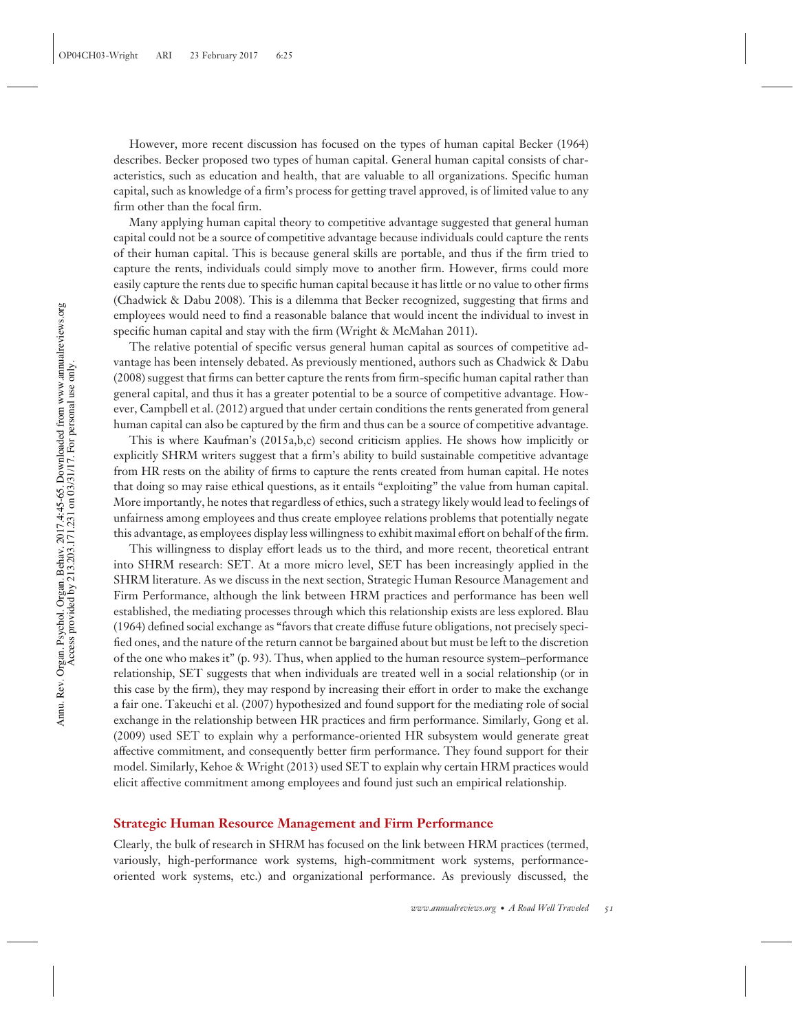However, more recent discussion has focused on the types of human capital Becker (1964) describes. Becker proposed two types of human capital. General human capital consists of characteristics, such as education and health, that are valuable to all organizations. Specific human capital, such as knowledge of a firm's process for getting travel approved, is of limited value to any firm other than the focal firm.

Many applying human capital theory to competitive advantage suggested that general human capital could not be a source of competitive advantage because individuals could capture the rents of their human capital. This is because general skills are portable, and thus if the firm tried to capture the rents, individuals could simply move to another firm. However, firms could more easily capture the rents due to specific human capital because it has little or no value to other firms (Chadwick & Dabu 2008). This is a dilemma that Becker recognized, suggesting that firms and employees would need to find a reasonable balance that would incent the individual to invest in specific human capital and stay with the firm (Wright & McMahan 2011).

The relative potential of specific versus general human capital as sources of competitive advantage has been intensely debated. As previously mentioned, authors such as Chadwick & Dabu (2008) suggest that firms can better capture the rents from firm-specific human capital rather than general capital, and thus it has a greater potential to be a source of competitive advantage. However, Campbell et al. (2012) argued that under certain conditions the rents generated from general human capital can also be captured by the firm and thus can be a source of competitive advantage.

This is where Kaufman's (2015a,b,c) second criticism applies. He shows how implicitly or explicitly SHRM writers suggest that a firm's ability to build sustainable competitive advantage from HR rests on the ability of firms to capture the rents created from human capital. He notes that doing so may raise ethical questions, as it entails "exploiting" the value from human capital. More importantly, he notes that regardless of ethics, such a strategy likely would lead to feelings of unfairness among employees and thus create employee relations problems that potentially negate this advantage, as employees display less willingness to exhibit maximal effort on behalf of the firm.

This willingness to display effort leads us to the third, and more recent, theoretical entrant into SHRM research: SET. At a more micro level, SET has been increasingly applied in the SHRM literature. As we discuss in the next section, Strategic Human Resource Management and Firm Performance, although the link between HRM practices and performance has been well established, the mediating processes through which this relationship exists are less explored. Blau (1964) defined social exchange as "favors that create diffuse future obligations, not precisely specified ones, and the nature of the return cannot be bargained about but must be left to the discretion of the one who makes it" (p. 93). Thus, when applied to the human resource system–performance relationship, SET suggests that when individuals are treated well in a social relationship (or in this case by the firm), they may respond by increasing their effort in order to make the exchange a fair one. Takeuchi et al. (2007) hypothesized and found support for the mediating role of social exchange in the relationship between HR practices and firm performance. Similarly, Gong et al. (2009) used SET to explain why a performance-oriented HR subsystem would generate great affective commitment, and consequently better firm performance. They found support for their model. Similarly, Kehoe & Wright (2013) used SET to explain why certain HRM practices would elicit affective commitment among employees and found just such an empirical relationship.

#### **Strategic Human Resource Management and Firm Performance**

Clearly, the bulk of research in SHRM has focused on the link between HRM practices (termed, variously, high-performance work systems, high-commitment work systems, performanceoriented work systems, etc.) and organizational performance. As previously discussed, the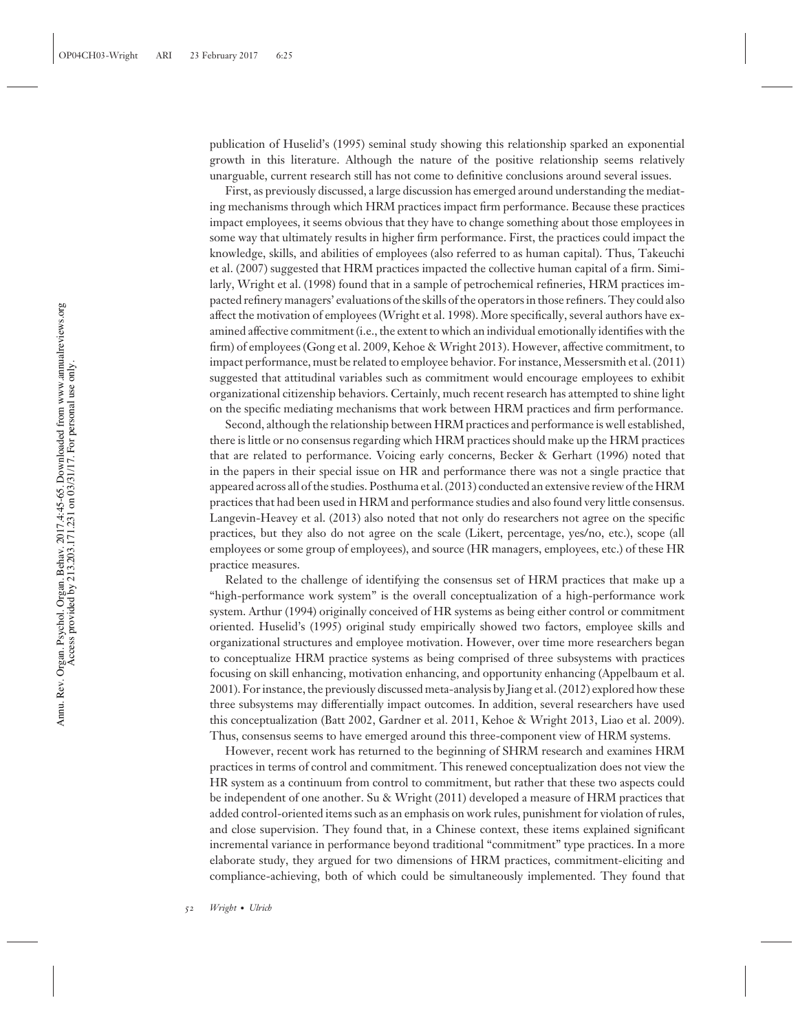publication of Huselid's (1995) seminal study showing this relationship sparked an exponential growth in this literature. Although the nature of the positive relationship seems relatively unarguable, current research still has not come to definitive conclusions around several issues.

First, as previously discussed, a large discussion has emerged around understanding the mediating mechanisms through which HRM practices impact firm performance. Because these practices impact employees, it seems obvious that they have to change something about those employees in some way that ultimately results in higher firm performance. First, the practices could impact the knowledge, skills, and abilities of employees (also referred to as human capital). Thus, Takeuchi et al. (2007) suggested that HRM practices impacted the collective human capital of a firm. Similarly, Wright et al. (1998) found that in a sample of petrochemical refineries, HRM practices impacted refinery managers' evaluations of the skills of the operators in those refiners. They could also affect the motivation of employees (Wright et al. 1998). More specifically, several authors have examined affective commitment (i.e., the extent to which an individual emotionally identifies with the firm) of employees (Gong et al. 2009, Kehoe & Wright 2013). However, affective commitment, to impact performance, must be related to employee behavior. For instance, Messersmith et al. (2011) suggested that attitudinal variables such as commitment would encourage employees to exhibit organizational citizenship behaviors. Certainly, much recent research has attempted to shine light on the specific mediating mechanisms that work between HRM practices and firm performance.

Second, although the relationship between HRM practices and performance is well established, there is little or no consensus regarding which HRM practices should make up the HRM practices that are related to performance. Voicing early concerns, Becker & Gerhart (1996) noted that in the papers in their special issue on HR and performance there was not a single practice that appeared across all of the studies. Posthuma et al. (2013) conducted an extensive review of the HRM practices that had been used in HRM and performance studies and also found very little consensus. Langevin-Heavey et al. (2013) also noted that not only do researchers not agree on the specific practices, but they also do not agree on the scale (Likert, percentage, yes/no, etc.), scope (all employees or some group of employees), and source (HR managers, employees, etc.) of these HR practice measures.

Related to the challenge of identifying the consensus set of HRM practices that make up a "high-performance work system" is the overall conceptualization of a high-performance work system. Arthur (1994) originally conceived of HR systems as being either control or commitment oriented. Huselid's (1995) original study empirically showed two factors, employee skills and organizational structures and employee motivation. However, over time more researchers began to conceptualize HRM practice systems as being comprised of three subsystems with practices focusing on skill enhancing, motivation enhancing, and opportunity enhancing (Appelbaum et al. 2001). For instance, the previously discussed meta-analysis by Jiang et al. (2012) explored how these three subsystems may differentially impact outcomes. In addition, several researchers have used this conceptualization (Batt 2002, Gardner et al. 2011, Kehoe & Wright 2013, Liao et al. 2009). Thus, consensus seems to have emerged around this three-component view of HRM systems.

However, recent work has returned to the beginning of SHRM research and examines HRM practices in terms of control and commitment. This renewed conceptualization does not view the HR system as a continuum from control to commitment, but rather that these two aspects could be independent of one another. Su & Wright (2011) developed a measure of HRM practices that added control-oriented items such as an emphasis on work rules, punishment for violation of rules, and close supervision. They found that, in a Chinese context, these items explained significant incremental variance in performance beyond traditional "commitment" type practices. In a more elaborate study, they argued for two dimensions of HRM practices, commitment-eliciting and compliance-achieving, both of which could be simultaneously implemented. They found that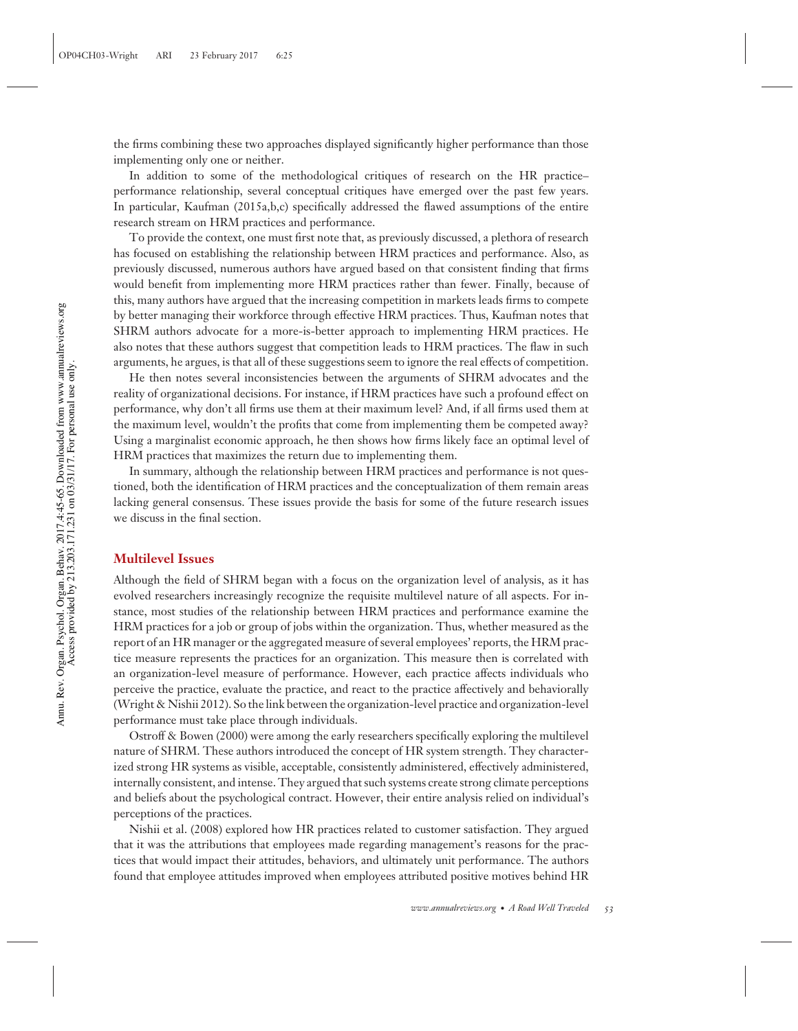the firms combining these two approaches displayed significantly higher performance than those implementing only one or neither.

In addition to some of the methodological critiques of research on the HR practice– performance relationship, several conceptual critiques have emerged over the past few years. In particular, Kaufman (2015a,b,c) specifically addressed the flawed assumptions of the entire research stream on HRM practices and performance.

To provide the context, one must first note that, as previously discussed, a plethora of research has focused on establishing the relationship between HRM practices and performance. Also, as previously discussed, numerous authors have argued based on that consistent finding that firms would benefit from implementing more HRM practices rather than fewer. Finally, because of this, many authors have argued that the increasing competition in markets leads firms to compete by better managing their workforce through effective HRM practices. Thus, Kaufman notes that SHRM authors advocate for a more-is-better approach to implementing HRM practices. He also notes that these authors suggest that competition leads to HRM practices. The flaw in such arguments, he argues, is that all of these suggestions seem to ignore the real effects of competition.

He then notes several inconsistencies between the arguments of SHRM advocates and the reality of organizational decisions. For instance, if HRM practices have such a profound effect on performance, why don't all firms use them at their maximum level? And, if all firms used them at the maximum level, wouldn't the profits that come from implementing them be competed away? Using a marginalist economic approach, he then shows how firms likely face an optimal level of HRM practices that maximizes the return due to implementing them.

In summary, although the relationship between HRM practices and performance is not questioned, both the identification of HRM practices and the conceptualization of them remain areas lacking general consensus. These issues provide the basis for some of the future research issues we discuss in the final section.

#### **Multilevel Issues**

Although the field of SHRM began with a focus on the organization level of analysis, as it has evolved researchers increasingly recognize the requisite multilevel nature of all aspects. For instance, most studies of the relationship between HRM practices and performance examine the HRM practices for a job or group of jobs within the organization. Thus, whether measured as the report of an HR manager or the aggregated measure of several employees' reports, the HRM practice measure represents the practices for an organization. This measure then is correlated with an organization-level measure of performance. However, each practice affects individuals who perceive the practice, evaluate the practice, and react to the practice affectively and behaviorally (Wright & Nishii 2012). So the link between the organization-level practice and organization-level performance must take place through individuals.

Ostroff & Bowen (2000) were among the early researchers specifically exploring the multilevel nature of SHRM. These authors introduced the concept of HR system strength. They characterized strong HR systems as visible, acceptable, consistently administered, effectively administered, internally consistent, and intense. They argued that such systems create strong climate perceptions and beliefs about the psychological contract. However, their entire analysis relied on individual's perceptions of the practices.

Nishii et al. (2008) explored how HR practices related to customer satisfaction. They argued that it was the attributions that employees made regarding management's reasons for the practices that would impact their attitudes, behaviors, and ultimately unit performance. The authors found that employee attitudes improved when employees attributed positive motives behind HR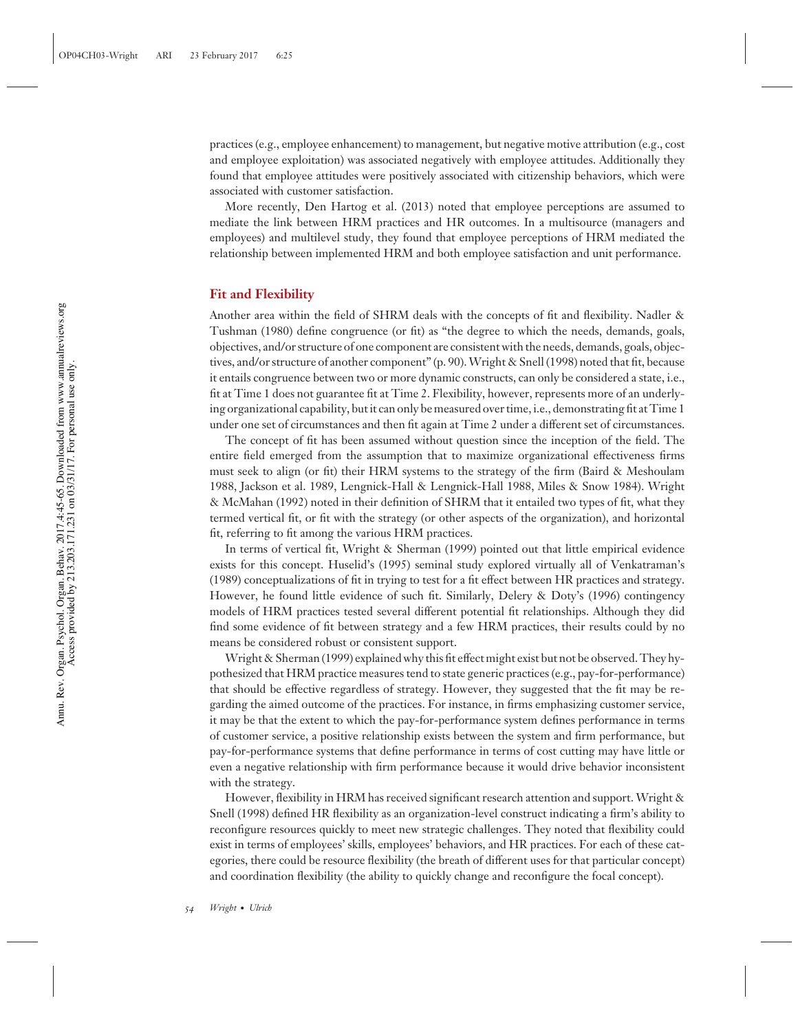practices (e.g., employee enhancement) to management, but negative motive attribution (e.g., cost and employee exploitation) was associated negatively with employee attitudes. Additionally they found that employee attitudes were positively associated with citizenship behaviors, which were associated with customer satisfaction.

More recently, Den Hartog et al. (2013) noted that employee perceptions are assumed to mediate the link between HRM practices and HR outcomes. In a multisource (managers and employees) and multilevel study, they found that employee perceptions of HRM mediated the relationship between implemented HRM and both employee satisfaction and unit performance.

#### **Fit and Flexibility**

Another area within the field of SHRM deals with the concepts of fit and flexibility. Nadler & Tushman (1980) define congruence (or fit) as "the degree to which the needs, demands, goals, objectives, and/or structure of one component are consistent with the needs, demands, goals, objectives, and/or structure of another component" (p. 90).Wright & Snell (1998) noted that fit, because it entails congruence between two or more dynamic constructs, can only be considered a state, i.e., fit at Time 1 does not guarantee fit at Time 2. Flexibility, however, represents more of an underlying organizational capability, but it can only be measured over time, i.e., demonstrating fit at Time 1 under one set of circumstances and then fit again at Time 2 under a different set of circumstances.

The concept of fit has been assumed without question since the inception of the field. The entire field emerged from the assumption that to maximize organizational effectiveness firms must seek to align (or fit) their HRM systems to the strategy of the firm (Baird & Meshoulam 1988, Jackson et al. 1989, Lengnick-Hall & Lengnick-Hall 1988, Miles & Snow 1984). Wright & McMahan (1992) noted in their definition of SHRM that it entailed two types of fit, what they termed vertical fit, or fit with the strategy (or other aspects of the organization), and horizontal fit, referring to fit among the various HRM practices.

In terms of vertical fit, Wright & Sherman (1999) pointed out that little empirical evidence exists for this concept. Huselid's (1995) seminal study explored virtually all of Venkatraman's (1989) conceptualizations of fit in trying to test for a fit effect between HR practices and strategy. However, he found little evidence of such fit. Similarly, Delery & Doty's (1996) contingency models of HRM practices tested several different potential fit relationships. Although they did find some evidence of fit between strategy and a few HRM practices, their results could by no means be considered robust or consistent support.

Wright & Sherman (1999) explained why this fit effect might exist but not be observed. They hypothesized that HRM practice measures tend to state generic practices (e.g., pay-for-performance) that should be effective regardless of strategy. However, they suggested that the fit may be regarding the aimed outcome of the practices. For instance, in firms emphasizing customer service, it may be that the extent to which the pay-for-performance system defines performance in terms of customer service, a positive relationship exists between the system and firm performance, but pay-for-performance systems that define performance in terms of cost cutting may have little or even a negative relationship with firm performance because it would drive behavior inconsistent with the strategy.

However, flexibility in HRM has received significant research attention and support. Wright & Snell (1998) defined HR flexibility as an organization-level construct indicating a firm's ability to reconfigure resources quickly to meet new strategic challenges. They noted that flexibility could exist in terms of employees' skills, employees' behaviors, and HR practices. For each of these categories, there could be resource flexibility (the breath of different uses for that particular concept) and coordination flexibility (the ability to quickly change and reconfigure the focal concept).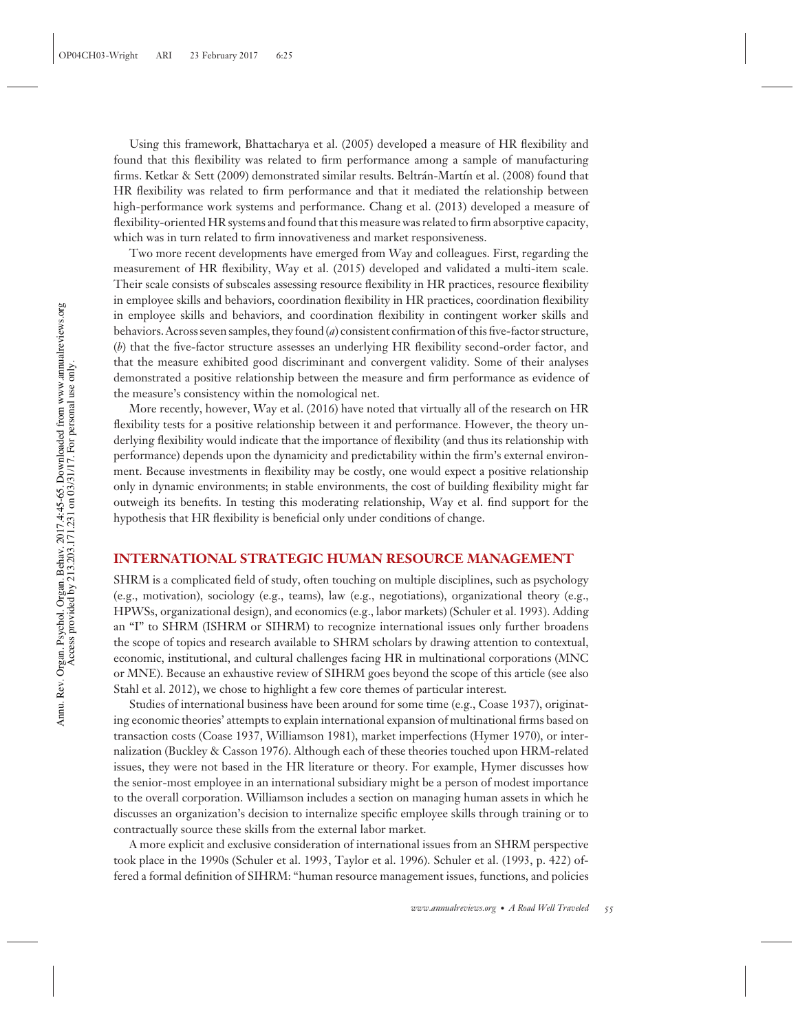Using this framework, Bhattacharya et al. (2005) developed a measure of HR flexibility and found that this flexibility was related to firm performance among a sample of manufacturing firms. Ketkar & Sett (2009) demonstrated similar results. Beltrán-Martín et al. (2008) found that HR flexibility was related to firm performance and that it mediated the relationship between high-performance work systems and performance. Chang et al. (2013) developed a measure of flexibility-oriented HR systems and found that this measure was related to firm absorptive capacity, which was in turn related to firm innovativeness and market responsiveness.

Two more recent developments have emerged from Way and colleagues. First, regarding the measurement of HR flexibility, Way et al. (2015) developed and validated a multi-item scale. Their scale consists of subscales assessing resource flexibility in HR practices, resource flexibility in employee skills and behaviors, coordination flexibility in HR practices, coordination flexibility in employee skills and behaviors, and coordination flexibility in contingent worker skills and behaviors. Across seven samples, they found (*a*) consistent confirmation of this five-factor structure, (*b*) that the five-factor structure assesses an underlying HR flexibility second-order factor, and that the measure exhibited good discriminant and convergent validity. Some of their analyses demonstrated a positive relationship between the measure and firm performance as evidence of the measure's consistency within the nomological net.

More recently, however, Way et al. (2016) have noted that virtually all of the research on HR flexibility tests for a positive relationship between it and performance. However, the theory underlying flexibility would indicate that the importance of flexibility (and thus its relationship with performance) depends upon the dynamicity and predictability within the firm's external environment. Because investments in flexibility may be costly, one would expect a positive relationship only in dynamic environments; in stable environments, the cost of building flexibility might far outweigh its benefits. In testing this moderating relationship, Way et al. find support for the hypothesis that HR flexibility is beneficial only under conditions of change.

#### **INTERNATIONAL STRATEGIC HUMAN RESOURCE MANAGEMENT**

SHRM is a complicated field of study, often touching on multiple disciplines, such as psychology (e.g., motivation), sociology (e.g., teams), law (e.g., negotiations), organizational theory (e.g., HPWSs, organizational design), and economics (e.g., labor markets) (Schuler et al. 1993). Adding an "I" to SHRM (ISHRM or SIHRM) to recognize international issues only further broadens the scope of topics and research available to SHRM scholars by drawing attention to contextual, economic, institutional, and cultural challenges facing HR in multinational corporations (MNC or MNE). Because an exhaustive review of SIHRM goes beyond the scope of this article (see also Stahl et al. 2012), we chose to highlight a few core themes of particular interest.

Studies of international business have been around for some time (e.g., Coase 1937), originating economic theories' attempts to explain international expansion of multinational firms based on transaction costs (Coase 1937, Williamson 1981), market imperfections (Hymer 1970), or internalization (Buckley & Casson 1976). Although each of these theories touched upon HRM-related issues, they were not based in the HR literature or theory. For example, Hymer discusses how the senior-most employee in an international subsidiary might be a person of modest importance to the overall corporation. Williamson includes a section on managing human assets in which he discusses an organization's decision to internalize specific employee skills through training or to contractually source these skills from the external labor market.

A more explicit and exclusive consideration of international issues from an SHRM perspective took place in the 1990s (Schuler et al. 1993, Taylor et al. 1996). Schuler et al. (1993, p. 422) offered a formal definition of SIHRM: "human resource management issues, functions, and policies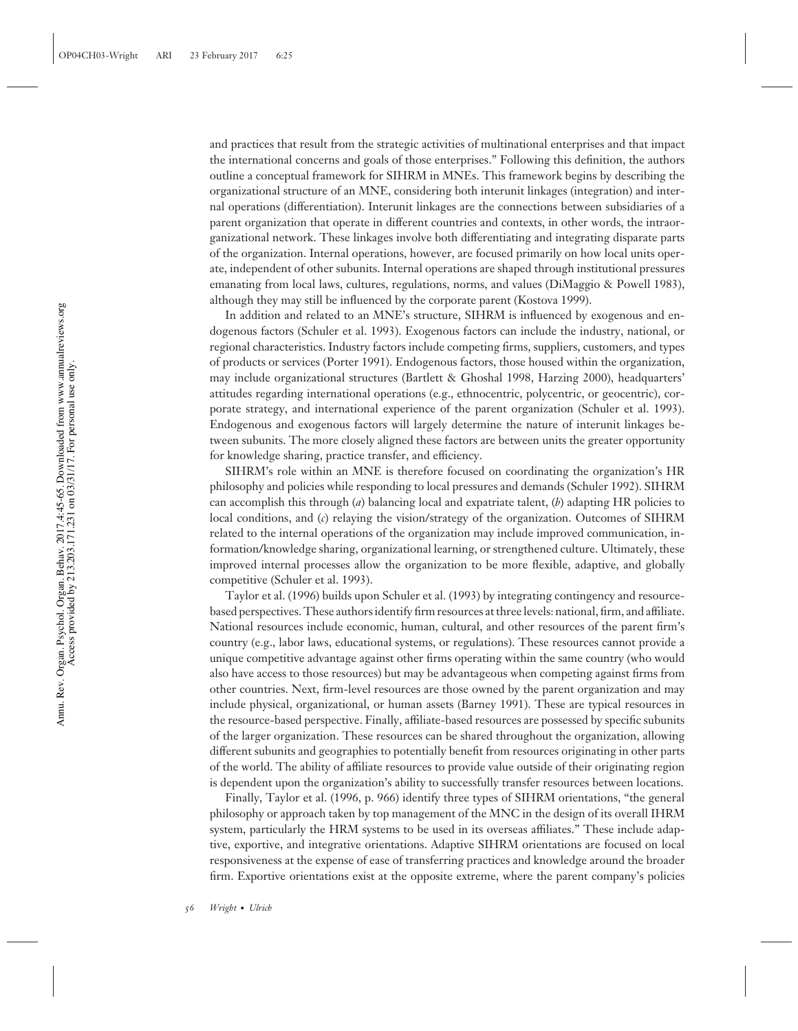and practices that result from the strategic activities of multinational enterprises and that impact the international concerns and goals of those enterprises." Following this definition, the authors outline a conceptual framework for SIHRM in MNEs. This framework begins by describing the organizational structure of an MNE, considering both interunit linkages (integration) and internal operations (differentiation). Interunit linkages are the connections between subsidiaries of a parent organization that operate in different countries and contexts, in other words, the intraorganizational network. These linkages involve both differentiating and integrating disparate parts of the organization. Internal operations, however, are focused primarily on how local units operate, independent of other subunits. Internal operations are shaped through institutional pressures emanating from local laws, cultures, regulations, norms, and values (DiMaggio & Powell 1983), although they may still be influenced by the corporate parent (Kostova 1999).

In addition and related to an MNE's structure, SIHRM is influenced by exogenous and endogenous factors (Schuler et al. 1993). Exogenous factors can include the industry, national, or regional characteristics. Industry factors include competing firms, suppliers, customers, and types of products or services (Porter 1991). Endogenous factors, those housed within the organization, may include organizational structures (Bartlett & Ghoshal 1998, Harzing 2000), headquarters' attitudes regarding international operations (e.g., ethnocentric, polycentric, or geocentric), corporate strategy, and international experience of the parent organization (Schuler et al. 1993). Endogenous and exogenous factors will largely determine the nature of interunit linkages between subunits. The more closely aligned these factors are between units the greater opportunity for knowledge sharing, practice transfer, and efficiency.

SIHRM's role within an MNE is therefore focused on coordinating the organization's HR philosophy and policies while responding to local pressures and demands (Schuler 1992). SIHRM can accomplish this through (*a*) balancing local and expatriate talent, (*b*) adapting HR policies to local conditions, and (*c*) relaying the vision/strategy of the organization. Outcomes of SIHRM related to the internal operations of the organization may include improved communication, information/knowledge sharing, organizational learning, or strengthened culture. Ultimately, these improved internal processes allow the organization to be more flexible, adaptive, and globally competitive (Schuler et al. 1993).

Taylor et al. (1996) builds upon Schuler et al. (1993) by integrating contingency and resourcebased perspectives. These authors identify firm resources at three levels: national, firm, and affiliate. National resources include economic, human, cultural, and other resources of the parent firm's country (e.g., labor laws, educational systems, or regulations). These resources cannot provide a unique competitive advantage against other firms operating within the same country (who would also have access to those resources) but may be advantageous when competing against firms from other countries. Next, firm-level resources are those owned by the parent organization and may include physical, organizational, or human assets (Barney 1991). These are typical resources in the resource-based perspective. Finally, affiliate-based resources are possessed by specific subunits of the larger organization. These resources can be shared throughout the organization, allowing different subunits and geographies to potentially benefit from resources originating in other parts of the world. The ability of affiliate resources to provide value outside of their originating region is dependent upon the organization's ability to successfully transfer resources between locations.

Finally, Taylor et al. (1996, p. 966) identify three types of SIHRM orientations, "the general philosophy or approach taken by top management of the MNC in the design of its overall IHRM system, particularly the HRM systems to be used in its overseas affiliates." These include adaptive, exportive, and integrative orientations. Adaptive SIHRM orientations are focused on local responsiveness at the expense of ease of transferring practices and knowledge around the broader firm. Exportive orientations exist at the opposite extreme, where the parent company's policies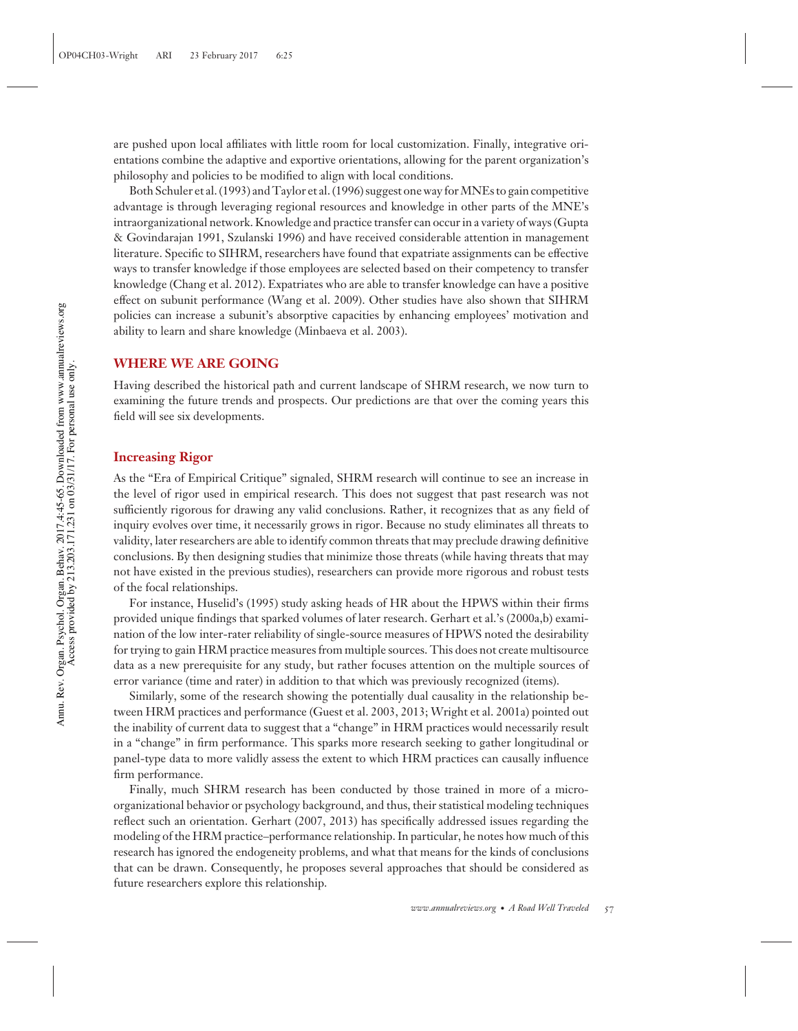are pushed upon local affiliates with little room for local customization. Finally, integrative orientations combine the adaptive and exportive orientations, allowing for the parent organization's philosophy and policies to be modified to align with local conditions.

Both Schuler et al. (1993) and Taylor et al. (1996) suggest one way for MNEs to gain competitive advantage is through leveraging regional resources and knowledge in other parts of the MNE's intraorganizational network. Knowledge and practice transfer can occur in a variety of ways (Gupta & Govindarajan 1991, Szulanski 1996) and have received considerable attention in management literature. Specific to SIHRM, researchers have found that expatriate assignments can be effective ways to transfer knowledge if those employees are selected based on their competency to transfer knowledge (Chang et al. 2012). Expatriates who are able to transfer knowledge can have a positive effect on subunit performance (Wang et al. 2009). Other studies have also shown that SIHRM policies can increase a subunit's absorptive capacities by enhancing employees' motivation and ability to learn and share knowledge (Minbaeva et al. 2003).

#### **WHERE WE ARE GOING**

Having described the historical path and current landscape of SHRM research, we now turn to examining the future trends and prospects. Our predictions are that over the coming years this field will see six developments.

#### **Increasing Rigor**

As the "Era of Empirical Critique" signaled, SHRM research will continue to see an increase in the level of rigor used in empirical research. This does not suggest that past research was not sufficiently rigorous for drawing any valid conclusions. Rather, it recognizes that as any field of inquiry evolves over time, it necessarily grows in rigor. Because no study eliminates all threats to validity, later researchers are able to identify common threats that may preclude drawing definitive conclusions. By then designing studies that minimize those threats (while having threats that may not have existed in the previous studies), researchers can provide more rigorous and robust tests of the focal relationships.

For instance, Huselid's (1995) study asking heads of HR about the HPWS within their firms provided unique findings that sparked volumes of later research. Gerhart et al.'s (2000a,b) examination of the low inter-rater reliability of single-source measures of HPWS noted the desirability for trying to gain HRM practice measures from multiple sources. This does not create multisource data as a new prerequisite for any study, but rather focuses attention on the multiple sources of error variance (time and rater) in addition to that which was previously recognized (items).

Similarly, some of the research showing the potentially dual causality in the relationship between HRM practices and performance (Guest et al. 2003, 2013; Wright et al. 2001a) pointed out the inability of current data to suggest that a "change" in HRM practices would necessarily result in a "change" in firm performance. This sparks more research seeking to gather longitudinal or panel-type data to more validly assess the extent to which HRM practices can causally influence firm performance.

Finally, much SHRM research has been conducted by those trained in more of a microorganizational behavior or psychology background, and thus, their statistical modeling techniques reflect such an orientation. Gerhart (2007, 2013) has specifically addressed issues regarding the modeling of the HRM practice–performance relationship. In particular, he notes how much of this research has ignored the endogeneity problems, and what that means for the kinds of conclusions that can be drawn. Consequently, he proposes several approaches that should be considered as future researchers explore this relationship.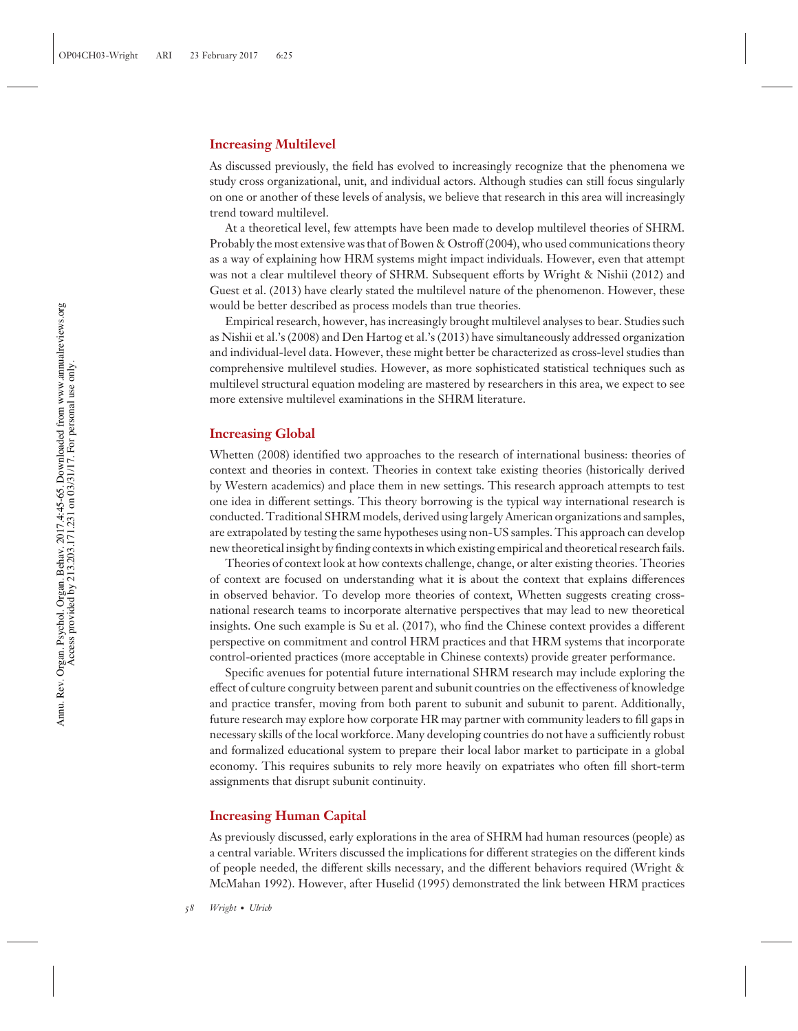#### **Increasing Multilevel**

As discussed previously, the field has evolved to increasingly recognize that the phenomena we study cross organizational, unit, and individual actors. Although studies can still focus singularly on one or another of these levels of analysis, we believe that research in this area will increasingly trend toward multilevel.

At a theoretical level, few attempts have been made to develop multilevel theories of SHRM. Probably the most extensive was that of Bowen & Ostroff (2004), who used communications theory as a way of explaining how HRM systems might impact individuals. However, even that attempt was not a clear multilevel theory of SHRM. Subsequent efforts by Wright & Nishii (2012) and Guest et al. (2013) have clearly stated the multilevel nature of the phenomenon. However, these would be better described as process models than true theories.

Empirical research, however, has increasingly brought multilevel analyses to bear. Studies such as Nishii et al.'s (2008) and Den Hartog et al.'s (2013) have simultaneously addressed organization and individual-level data. However, these might better be characterized as cross-level studies than comprehensive multilevel studies. However, as more sophisticated statistical techniques such as multilevel structural equation modeling are mastered by researchers in this area, we expect to see more extensive multilevel examinations in the SHRM literature.

#### **Increasing Global**

Whetten (2008) identified two approaches to the research of international business: theories of context and theories in context. Theories in context take existing theories (historically derived by Western academics) and place them in new settings. This research approach attempts to test one idea in different settings. This theory borrowing is the typical way international research is conducted. Traditional SHRM models, derived using largely American organizations and samples, are extrapolated by testing the same hypotheses using non-US samples. This approach can develop new theoretical insight by finding contexts in which existing empirical and theoretical research fails.

Theories of context look at how contexts challenge, change, or alter existing theories. Theories of context are focused on understanding what it is about the context that explains differences in observed behavior. To develop more theories of context, Whetten suggests creating crossnational research teams to incorporate alternative perspectives that may lead to new theoretical insights. One such example is Su et al. (2017), who find the Chinese context provides a different perspective on commitment and control HRM practices and that HRM systems that incorporate control-oriented practices (more acceptable in Chinese contexts) provide greater performance.

Specific avenues for potential future international SHRM research may include exploring the effect of culture congruity between parent and subunit countries on the effectiveness of knowledge and practice transfer, moving from both parent to subunit and subunit to parent. Additionally, future research may explore how corporate HR may partner with community leaders to fill gaps in necessary skills of the local workforce. Many developing countries do not have a sufficiently robust and formalized educational system to prepare their local labor market to participate in a global economy. This requires subunits to rely more heavily on expatriates who often fill short-term assignments that disrupt subunit continuity.

#### **Increasing Human Capital**

As previously discussed, early explorations in the area of SHRM had human resources (people) as a central variable. Writers discussed the implications for different strategies on the different kinds of people needed, the different skills necessary, and the different behaviors required (Wright & McMahan 1992). However, after Huselid (1995) demonstrated the link between HRM practices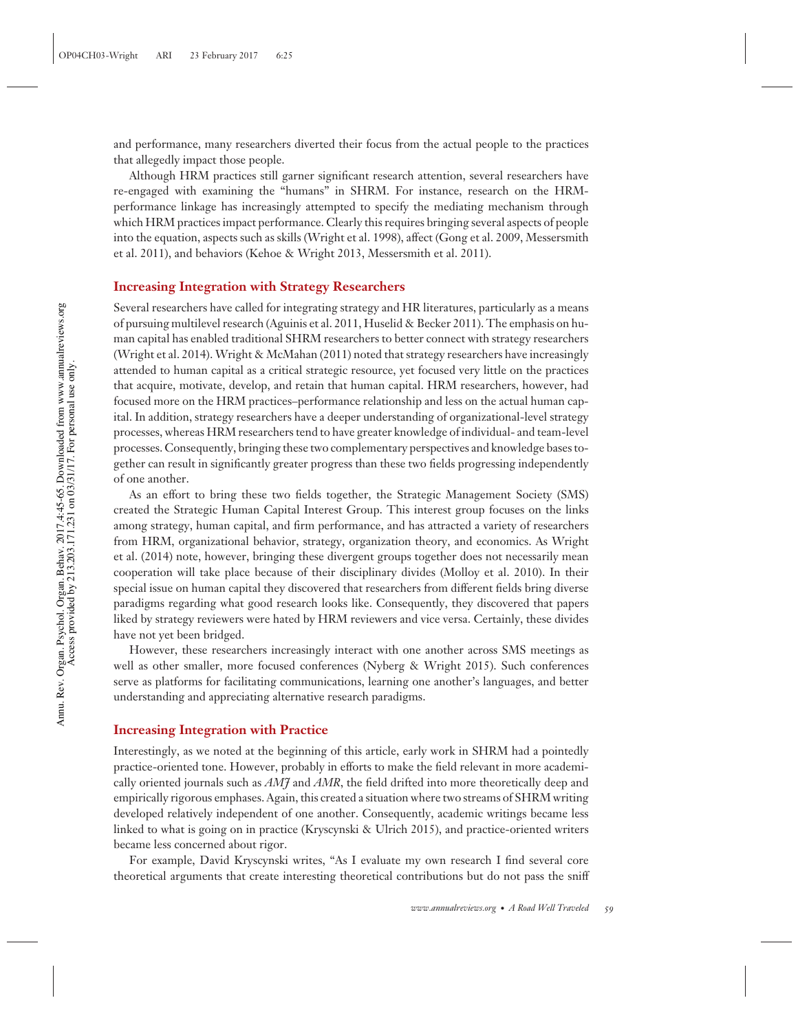and performance, many researchers diverted their focus from the actual people to the practices that allegedly impact those people.

Although HRM practices still garner significant research attention, several researchers have re-engaged with examining the "humans" in SHRM. For instance, research on the HRMperformance linkage has increasingly attempted to specify the mediating mechanism through which HRM practices impact performance. Clearly this requires bringing several aspects of people into the equation, aspects such as skills (Wright et al. 1998), affect (Gong et al. 2009, Messersmith et al. 2011), and behaviors (Kehoe & Wright 2013, Messersmith et al. 2011).

#### **Increasing Integration with Strategy Researchers**

Several researchers have called for integrating strategy and HR literatures, particularly as a means of pursuing multilevel research (Aguinis et al. 2011, Huselid & Becker 2011). The emphasis on human capital has enabled traditional SHRM researchers to better connect with strategy researchers (Wright et al. 2014). Wright & McMahan (2011) noted that strategy researchers have increasingly attended to human capital as a critical strategic resource, yet focused very little on the practices that acquire, motivate, develop, and retain that human capital. HRM researchers, however, had focused more on the HRM practices–performance relationship and less on the actual human capital. In addition, strategy researchers have a deeper understanding of organizational-level strategy processes, whereas HRM researchers tend to have greater knowledge of individual- and team-level processes. Consequently, bringing these two complementary perspectives and knowledge bases together can result in significantly greater progress than these two fields progressing independently of one another.

As an effort to bring these two fields together, the Strategic Management Society (SMS) created the Strategic Human Capital Interest Group. This interest group focuses on the links among strategy, human capital, and firm performance, and has attracted a variety of researchers from HRM, organizational behavior, strategy, organization theory, and economics. As Wright et al. (2014) note, however, bringing these divergent groups together does not necessarily mean cooperation will take place because of their disciplinary divides (Molloy et al. 2010). In their special issue on human capital they discovered that researchers from different fields bring diverse paradigms regarding what good research looks like. Consequently, they discovered that papers liked by strategy reviewers were hated by HRM reviewers and vice versa. Certainly, these divides have not yet been bridged.

However, these researchers increasingly interact with one another across SMS meetings as well as other smaller, more focused conferences (Nyberg & Wright 2015). Such conferences serve as platforms for facilitating communications, learning one another's languages, and better understanding and appreciating alternative research paradigms.

#### **Increasing Integration with Practice**

Interestingly, as we noted at the beginning of this article, early work in SHRM had a pointedly practice-oriented tone. However, probably in efforts to make the field relevant in more academically oriented journals such as *AMJ* and *AMR*, the field drifted into more theoretically deep and empirically rigorous emphases. Again, this created a situation where two streams of SHRM writing developed relatively independent of one another. Consequently, academic writings became less linked to what is going on in practice (Kryscynski & Ulrich 2015), and practice-oriented writers became less concerned about rigor.

For example, David Kryscynski writes, "As I evaluate my own research I find several core theoretical arguments that create interesting theoretical contributions but do not pass the sniff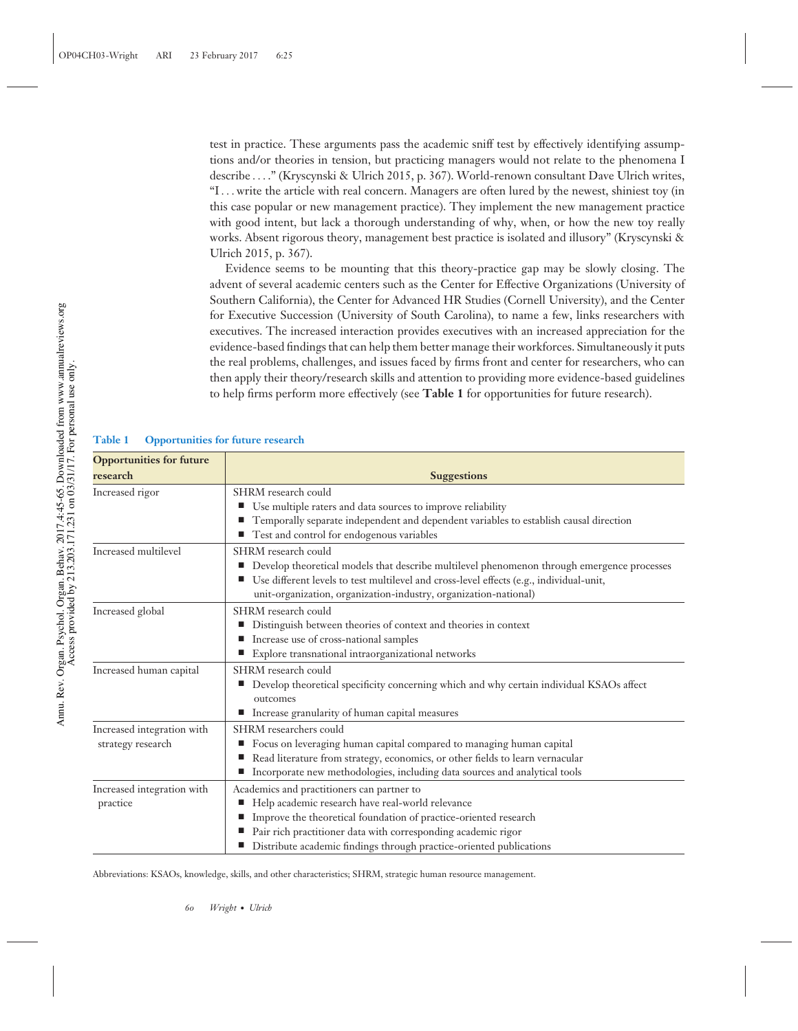test in practice. These arguments pass the academic sniff test by effectively identifying assumptions and/or theories in tension, but practicing managers would not relate to the phenomena I describe *...* ." (Kryscynski & Ulrich 2015, p. 367). World-renown consultant Dave Ulrich writes, "I*...* write the article with real concern. Managers are often lured by the newest, shiniest toy (in this case popular or new management practice). They implement the new management practice with good intent, but lack a thorough understanding of why, when, or how the new toy really works. Absent rigorous theory, management best practice is isolated and illusory" (Kryscynski & Ulrich 2015, p. 367).

Evidence seems to be mounting that this theory-practice gap may be slowly closing. The advent of several academic centers such as the Center for Effective Organizations (University of Southern California), the Center for Advanced HR Studies (Cornell University), and the Center for Executive Succession (University of South Carolina), to name a few, links researchers with executives. The increased interaction provides executives with an increased appreciation for the evidence-based findings that can help them better manage their workforces. Simultaneously it puts the real problems, challenges, and issues faced by firms front and center for researchers, who can then apply their theory/research skills and attention to providing more evidence-based guidelines to help firms perform more effectively (see **Table 1** for opportunities for future research).

#### **Table 1 Opportunities for future research**

| <b>Opportunities for future</b>                 |                                                                                                                                                                                                                                                                                                                 |
|-------------------------------------------------|-----------------------------------------------------------------------------------------------------------------------------------------------------------------------------------------------------------------------------------------------------------------------------------------------------------------|
| research                                        | <b>Suggestions</b>                                                                                                                                                                                                                                                                                              |
| Increased rigor                                 | SHRM research could<br>■ Use multiple raters and data sources to improve reliability<br>Temporally separate independent and dependent variables to establish causal direction<br>■ Test and control for endogenous variables                                                                                    |
| Increased multilevel                            | SHRM research could<br>Develop theoretical models that describe multilevel phenomenon through emergence processes<br>ш<br>Use different levels to test multilevel and cross-level effects (e.g., individual-unit,<br>unit-organization, organization-industry, organization-national)                           |
| Increased global                                | SHRM research could<br>Distinguish between theories of context and theories in context<br>ш<br>Increase use of cross-national samples<br>Explore transnational intraorganizational networks<br>ш                                                                                                                |
| Increased human capital                         | SHRM research could<br>Develop theoretical specificity concerning which and why certain individual KSAOs affect<br>щ<br>outcomes<br>Increase granularity of human capital measures                                                                                                                              |
| Increased integration with<br>strategy research | SHRM researchers could<br>Focus on leveraging human capital compared to managing human capital<br>Read literature from strategy, economics, or other fields to learn vernacular<br>Incorporate new methodologies, including data sources and analytical tools<br>щ                                              |
| Increased integration with<br>practice          | Academics and practitioners can partner to<br>Help academic research have real-world relevance<br>■<br>Improve the theoretical foundation of practice-oriented research<br>Pair rich practitioner data with corresponding academic rigor<br>Distribute academic findings through practice-oriented publications |

Abbreviations: KSAOs, knowledge, skills, and other characteristics; SHRM, strategic human resource management.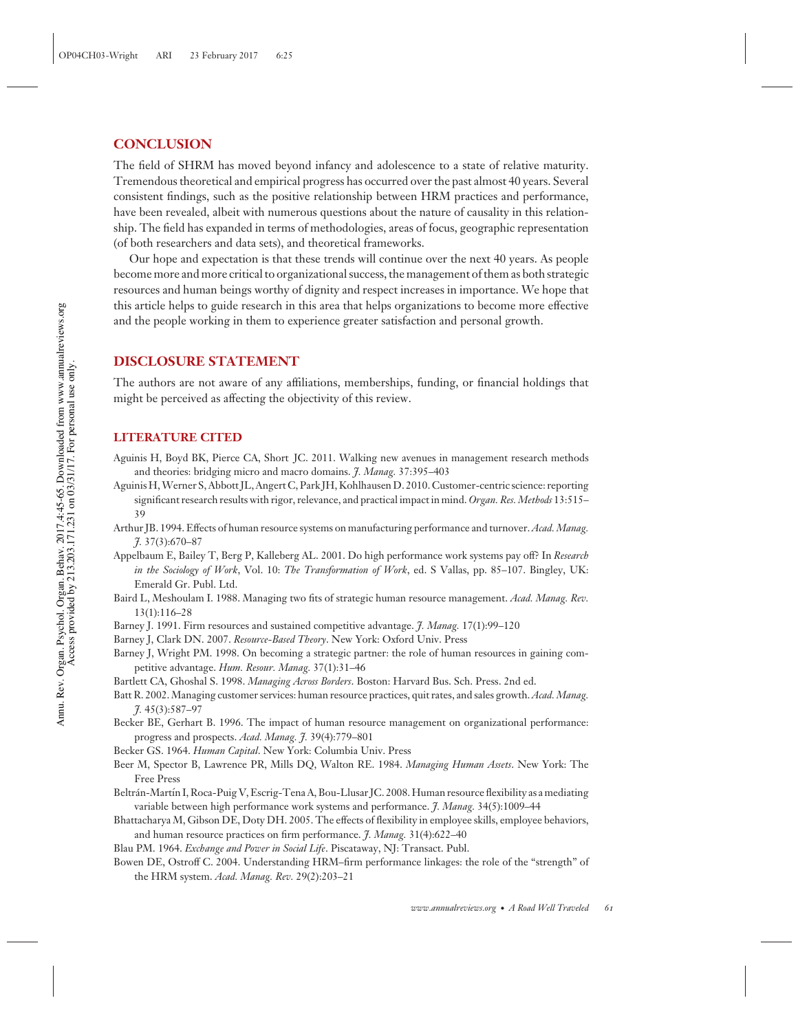#### **CONCLUSION**

The field of SHRM has moved beyond infancy and adolescence to a state of relative maturity. Tremendous theoretical and empirical progress has occurred over the past almost 40 years. Several consistent findings, such as the positive relationship between HRM practices and performance, have been revealed, albeit with numerous questions about the nature of causality in this relationship. The field has expanded in terms of methodologies, areas of focus, geographic representation (of both researchers and data sets), and theoretical frameworks.

Our hope and expectation is that these trends will continue over the next 40 years. As people become more and more critical to organizational success, the management of them as both strategic resources and human beings worthy of dignity and respect increases in importance. We hope that this article helps to guide research in this area that helps organizations to become more effective and the people working in them to experience greater satisfaction and personal growth.

#### **DISCLOSURE STATEMENT**

The authors are not aware of any affiliations, memberships, funding, or financial holdings that might be perceived as affecting the objectivity of this review.

#### **LITERATURE CITED**

- Aguinis H, Boyd BK, Pierce CA, Short JC. 2011. Walking new avenues in management research methods and theories: bridging micro and macro domains. *J. Manag.* 37:395–403
- Aguinis H,Werner S, Abbott JL, Angert C, Park JH, Kohlhausen D. 2010. Customer-centric science: reporting significant research results with rigor, relevance, and practical impact in mind. *Organ. Res. Methods* 13:515– 39
- Arthur JB. 1994. Effects of human resource systems on manufacturing performance and turnover. *Acad. Manag. J.* 37(3):670–87
- Appelbaum E, Bailey T, Berg P, Kalleberg AL. 2001. Do high performance work systems pay off? In *Research in the Sociology of Work*, Vol. 10: *The Transformation of Work*, ed. S Vallas, pp. 85–107. Bingley, UK: Emerald Gr. Publ. Ltd.
- Baird L, Meshoulam I. 1988. Managing two fits of strategic human resource management. *Acad. Manag. Rev.* 13(1):116–28
- Barney J. 1991. Firm resources and sustained competitive advantage. *J. Manag.* 17(1):99–120
- Barney J, Clark DN. 2007. *Resource-Based Theory*. New York: Oxford Univ. Press
- Barney J, Wright PM. 1998. On becoming a strategic partner: the role of human resources in gaining competitive advantage. *Hum. Resour. Manag.* 37(1):31–46
- Bartlett CA, Ghoshal S. 1998. *Managing Across Borders*. Boston: Harvard Bus. Sch. Press. 2nd ed.
- Batt R. 2002. Managing customer services: human resource practices, quit rates, and sales growth.*Acad. Manag. J.* 45(3):587–97
- Becker BE, Gerhart B. 1996. The impact of human resource management on organizational performance: progress and prospects. *Acad. Manag. J.* 39(4):779–801
- Becker GS. 1964. *Human Capital*. New York: Columbia Univ. Press
- Beer M, Spector B, Lawrence PR, Mills DQ, Walton RE. 1984. *Managing Human Assets*. New York: The Free Press
- Beltrán-Martín I, Roca-Puig V, Escrig-Tena A, Bou-Llusar JC. 2008. Human resource flexibility as a mediating variable between high performance work systems and performance. *J. Manag.* 34(5):1009–44
- Bhattacharya M, Gibson DE, Doty DH. 2005. The effects of flexibility in employee skills, employee behaviors, and human resource practices on firm performance. *J. Manag.* 31(4):622–40
- Blau PM. 1964. *Exchange and Power in Social Life*. Piscataway, NJ: Transact. Publ.
- Bowen DE, Ostroff C. 2004. Understanding HRM–firm performance linkages: the role of the "strength" of the HRM system. *Acad. Manag. Rev.* 29(2):203–21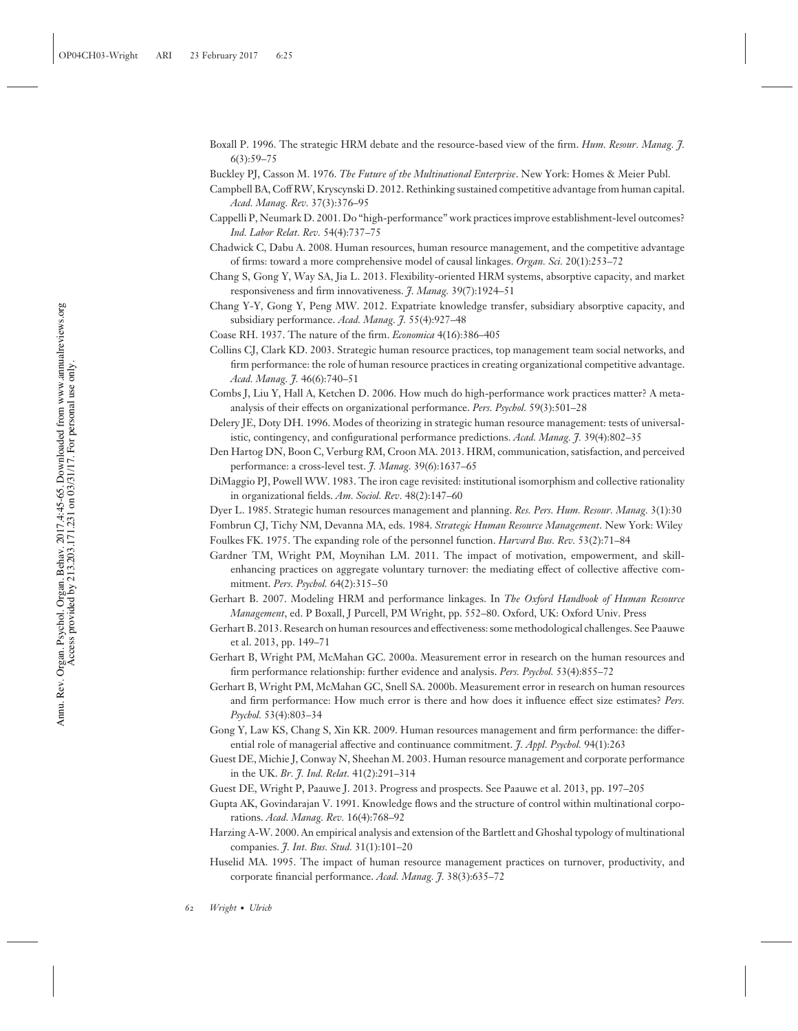- Boxall P. 1996. The strategic HRM debate and the resource-based view of the firm. *Hum. Resour. Manag. J.* 6(3):59–75
- Buckley PJ, Casson M. 1976. *The Future of the Multinational Enterprise*. New York: Homes & Meier Publ.
- Campbell BA, Coff RW, Kryscynski D. 2012. Rethinking sustained competitive advantage from human capital. *Acad. Manag. Rev.* 37(3):376–95
- Cappelli P, Neumark D. 2001. Do "high-performance" work practices improve establishment-level outcomes? *Ind. Labor Relat. Rev.* 54(4):737–75
- Chadwick C, Dabu A. 2008. Human resources, human resource management, and the competitive advantage of firms: toward a more comprehensive model of causal linkages. *Organ. Sci.* 20(1):253–72
- Chang S, Gong Y, Way SA, Jia L. 2013. Flexibility-oriented HRM systems, absorptive capacity, and market responsiveness and firm innovativeness. *J. Manag.* 39(7):1924–51
- Chang Y-Y, Gong Y, Peng MW. 2012. Expatriate knowledge transfer, subsidiary absorptive capacity, and subsidiary performance. *Acad. Manag. J.* 55(4):927–48
- Coase RH. 1937. The nature of the firm. *Economica* 4(16):386–405
- Collins CJ, Clark KD. 2003. Strategic human resource practices, top management team social networks, and firm performance: the role of human resource practices in creating organizational competitive advantage. *Acad. Manag. J.* 46(6):740–51
- Combs J, Liu Y, Hall A, Ketchen D. 2006. How much do high-performance work practices matter? A metaanalysis of their effects on organizational performance. *Pers. Psychol.* 59(3):501–28
- Delery JE, Doty DH. 1996. Modes of theorizing in strategic human resource management: tests of universalistic, contingency, and configurational performance predictions. *Acad. Manag. J.* 39(4):802–35
- Den Hartog DN, Boon C, Verburg RM, Croon MA. 2013. HRM, communication, satisfaction, and perceived performance: a cross-level test. *J. Manag.* 39(6):1637–65
- DiMaggio PJ, Powell WW. 1983. The iron cage revisited: institutional isomorphism and collective rationality in organizational fields. *Am. Sociol. Rev.* 48(2):147–60
- Dyer L. 1985. Strategic human resources management and planning. *Res. Pers. Hum. Resour. Manag.* 3(1):30
- Fombrun CJ, Tichy NM, Devanna MA, eds. 1984. *Strategic Human Resource Management*. New York: Wiley
- Foulkes FK. 1975. The expanding role of the personnel function. *Harvard Bus. Rev.* 53(2):71–84
- Gardner TM, Wright PM, Moynihan LM. 2011. The impact of motivation, empowerment, and skillenhancing practices on aggregate voluntary turnover: the mediating effect of collective affective commitment. *Pers. Psychol.* 64(2):315–50
- Gerhart B. 2007. Modeling HRM and performance linkages. In *The Oxford Handbook of Human Resource Management*, ed. P Boxall, J Purcell, PM Wright, pp. 552–80. Oxford, UK: Oxford Univ. Press
- Gerhart B. 2013. Research on human resources and effectiveness: some methodological challenges. See Paauwe et al. 2013, pp. 149–71
- Gerhart B, Wright PM, McMahan GC. 2000a. Measurement error in research on the human resources and firm performance relationship: further evidence and analysis. *Pers. Psychol.* 53(4):855–72
- Gerhart B, Wright PM, McMahan GC, Snell SA. 2000b. Measurement error in research on human resources and firm performance: How much error is there and how does it influence effect size estimates? *Pers. Psychol.* 53(4):803–34
- Gong Y, Law KS, Chang S, Xin KR. 2009. Human resources management and firm performance: the differential role of managerial affective and continuance commitment. *J. Appl. Psychol.* 94(1):263
- Guest DE, Michie J, Conway N, Sheehan M. 2003. Human resource management and corporate performance in the UK. *Br. J. Ind. Relat.* 41(2):291–314
- Guest DE, Wright P, Paauwe J. 2013. Progress and prospects. See Paauwe et al. 2013, pp. 197–205
- Gupta AK, Govindarajan V. 1991. Knowledge flows and the structure of control within multinational corporations. *Acad. Manag. Rev.* 16(4):768–92
- Harzing A-W. 2000. An empirical analysis and extension of the Bartlett and Ghoshal typology of multinational companies. *J. Int. Bus. Stud.* 31(1):101–20
- Huselid MA. 1995. The impact of human resource management practices on turnover, productivity, and corporate financial performance. *Acad. Manag. J.* 38(3):635–72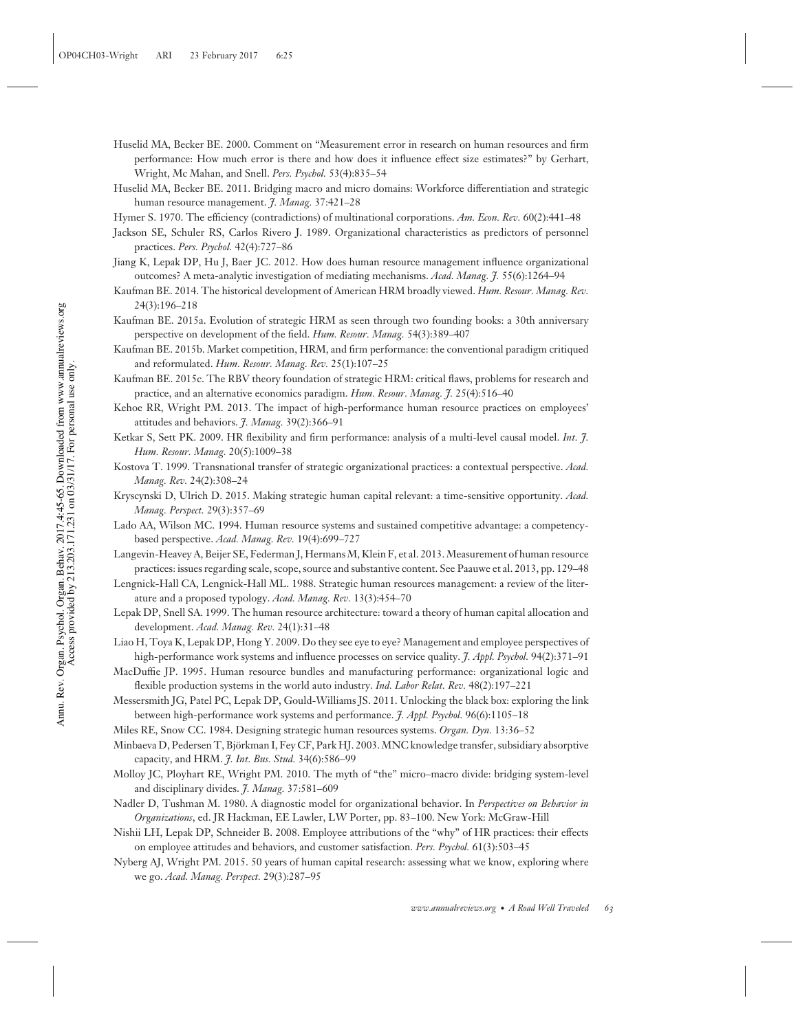- Huselid MA, Becker BE. 2000. Comment on "Measurement error in research on human resources and firm performance: How much error is there and how does it influence effect size estimates?" by Gerhart, Wright, Mc Mahan, and Snell. *Pers. Psychol.* 53(4):835–54
- Huselid MA, Becker BE. 2011. Bridging macro and micro domains: Workforce differentiation and strategic human resource management. *J. Manag.* 37:421–28

Hymer S. 1970. The efficiency (contradictions) of multinational corporations. *Am. Econ. Rev.* 60(2):441–48

- Jackson SE, Schuler RS, Carlos Rivero J. 1989. Organizational characteristics as predictors of personnel practices. *Pers. Psychol.* 42(4):727–86
- Jiang K, Lepak DP, Hu J, Baer JC. 2012. How does human resource management influence organizational outcomes? A meta-analytic investigation of mediating mechanisms. *Acad. Manag. J.* 55(6):1264–94
- Kaufman BE. 2014. The historical development of American HRM broadly viewed. *Hum. Resour. Manag. Rev.* 24(3):196–218
- Kaufman BE. 2015a. Evolution of strategic HRM as seen through two founding books: a 30th anniversary perspective on development of the field. *Hum. Resour. Manag.* 54(3):389–407
- Kaufman BE. 2015b. Market competition, HRM, and firm performance: the conventional paradigm critiqued and reformulated. *Hum. Resour. Manag. Rev.* 25(1):107–25
- Kaufman BE. 2015c. The RBV theory foundation of strategic HRM: critical flaws, problems for research and practice, and an alternative economics paradigm. *Hum. Resour. Manag. J.* 25(4):516–40
- Kehoe RR, Wright PM. 2013. The impact of high-performance human resource practices on employees' attitudes and behaviors. *J. Manag.* 39(2):366–91
- Ketkar S, Sett PK. 2009. HR flexibility and firm performance: analysis of a multi-level causal model. *Int. J. Hum. Resour. Manag.* 20(5):1009–38
- Kostova T. 1999. Transnational transfer of strategic organizational practices: a contextual perspective. *Acad. Manag. Rev.* 24(2):308–24
- Kryscynski D, Ulrich D. 2015. Making strategic human capital relevant: a time-sensitive opportunity. *Acad. Manag. Perspect.* 29(3):357–69
- Lado AA, Wilson MC. 1994. Human resource systems and sustained competitive advantage: a competencybased perspective. *Acad. Manag. Rev.* 19(4):699–727
- Langevin-Heavey A, Beijer SE, Federman J, Hermans M, Klein F, et al. 2013. Measurement of human resource practices: issues regarding scale, scope, source and substantive content. See Paauwe et al. 2013, pp. 129–48
- Lengnick-Hall CA, Lengnick-Hall ML. 1988. Strategic human resources management: a review of the literature and a proposed typology. *Acad. Manag. Rev.* 13(3):454–70
- Lepak DP, Snell SA. 1999. The human resource architecture: toward a theory of human capital allocation and development. *Acad. Manag. Rev.* 24(1):31–48
- Liao H, Toya K, Lepak DP, Hong Y. 2009. Do they see eye to eye? Management and employee perspectives of high-performance work systems and influence processes on service quality. *J. Appl. Psychol.* 94(2):371–91
- MacDuffie JP. 1995. Human resource bundles and manufacturing performance: organizational logic and flexible production systems in the world auto industry. *Ind. Labor Relat. Rev.* 48(2):197–221
- Messersmith JG, Patel PC, Lepak DP, Gould-Williams JS. 2011. Unlocking the black box: exploring the link between high-performance work systems and performance. *J. Appl. Psychol.* 96(6):1105–18
- Miles RE, Snow CC. 1984. Designing strategic human resources systems. *Organ. Dyn.* 13:36–52
- Minbaeva D, Pedersen T, Bjorkman I, Fey CF, Park HJ. 2003. MNC knowledge transfer, subsidiary absorptive ¨ capacity, and HRM. *J. Int. Bus. Stud.* 34(6):586–99
- Molloy JC, Ployhart RE, Wright PM. 2010. The myth of "the" micro–macro divide: bridging system-level and disciplinary divides. *J. Manag.* 37:581–609
- Nadler D, Tushman M. 1980. A diagnostic model for organizational behavior. In *Perspectives on Behavior in Organizations*, ed. JR Hackman, EE Lawler, LW Porter, pp. 83–100. New York: McGraw-Hill
- Nishii LH, Lepak DP, Schneider B. 2008. Employee attributions of the "why" of HR practices: their effects on employee attitudes and behaviors, and customer satisfaction. *Pers. Psychol.* 61(3):503–45
- Nyberg AJ, Wright PM. 2015. 50 years of human capital research: assessing what we know, exploring where we go. *Acad. Manag. Perspect.* 29(3):287–95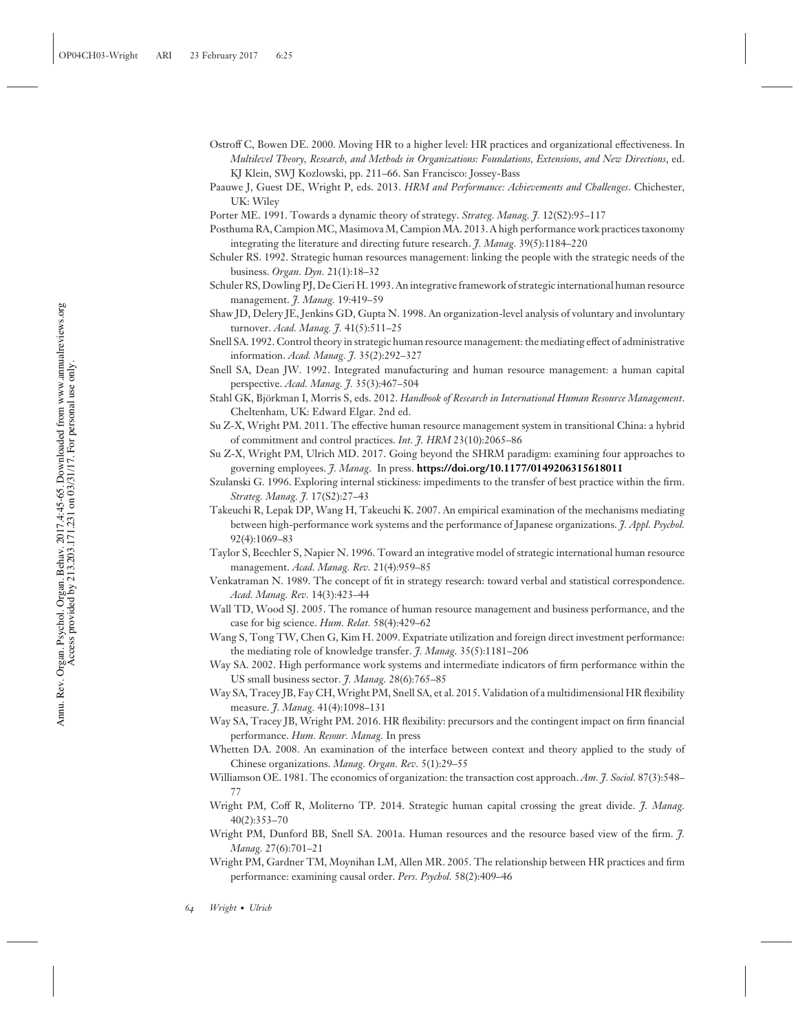- Ostroff C, Bowen DE. 2000. Moving HR to a higher level: HR practices and organizational effectiveness. In *Multilevel Theory, Research, and Methods in Organizations: Foundations, Extensions, and New Directions*, ed. KJ Klein, SWJ Kozlowski, pp. 211–66. San Francisco: Jossey-Bass
- Paauwe J, Guest DE, Wright P, eds. 2013. *HRM and Performance: Achievements and Challenges*. Chichester, UK: Wiley
- Porter ME. 1991. Towards a dynamic theory of strategy. *Strateg. Manag. J.* 12(S2):95–117
- Posthuma RA, Campion MC, Masimova M, Campion MA. 2013. A high performance work practices taxonomy integrating the literature and directing future research. *J. Manag.* 39(5):1184–220
- Schuler RS. 1992. Strategic human resources management: linking the people with the strategic needs of the business. *Organ. Dyn.* 21(1):18–32
- Schuler RS, Dowling PJ, De Cieri H. 1993. An integrative framework of strategic international human resource management. *J. Manag.* 19:419–59
- Shaw JD, Delery JE, Jenkins GD, Gupta N. 1998. An organization-level analysis of voluntary and involuntary turnover. *Acad. Manag. J.* 41(5):511–25

Snell SA. 1992. Control theory in strategic human resource management: the mediating effect of administrative information. *Acad. Manag. J.* 35(2):292–327

- Snell SA, Dean JW. 1992. Integrated manufacturing and human resource management: a human capital perspective. *Acad. Manag. J.* 35(3):467–504
- Stahl GK, Björkman I, Morris S, eds. 2012. *Handbook of Research in International Human Resource Management*. Cheltenham, UK: Edward Elgar. 2nd ed.
- Su Z-X, Wright PM. 2011. The effective human resource management system in transitional China: a hybrid of commitment and control practices. *Int. J. HRM* 23(10):2065–86
- Su Z-X, Wright PM, Ulrich MD. 2017. Going beyond the SHRM paradigm: examining four approaches to governing employees. *J. Manag*. In press. **<https://doi.org/10.1177/0149206315618011>**
- Szulanski G. 1996. Exploring internal stickiness: impediments to the transfer of best practice within the firm. *Strateg. Manag. J.* 17(S2):27–43
- Takeuchi R, Lepak DP, Wang H, Takeuchi K. 2007. An empirical examination of the mechanisms mediating between high-performance work systems and the performance of Japanese organizations. *J. Appl. Psychol.* 92(4):1069–83
- Taylor S, Beechler S, Napier N. 1996. Toward an integrative model of strategic international human resource management. *Acad. Manag. Rev.* 21(4):959–85
- Venkatraman N. 1989. The concept of fit in strategy research: toward verbal and statistical correspondence. *Acad. Manag. Rev.* 14(3):423–44
- Wall TD, Wood SJ. 2005. The romance of human resource management and business performance, and the case for big science. *Hum. Relat.* 58(4):429–62
- Wang S, Tong TW, Chen G, Kim H. 2009. Expatriate utilization and foreign direct investment performance: the mediating role of knowledge transfer. *J. Manag.* 35(5):1181–206
- Way SA. 2002. High performance work systems and intermediate indicators of firm performance within the US small business sector. *J. Manag.* 28(6):765–85
- Way SA, Tracey JB, Fay CH,Wright PM, Snell SA, et al. 2015. Validation of a multidimensional HR flexibility measure. *J. Manag.* 41(4):1098–131
- Way SA, Tracey JB, Wright PM. 2016. HR flexibility: precursors and the contingent impact on firm financial performance. *Hum. Resour. Manag.* In press
- Whetten DA. 2008. An examination of the interface between context and theory applied to the study of Chinese organizations. *Manag. Organ. Rev.* 5(1):29–55
- Williamson OE. 1981. The economics of organization: the transaction cost approach. *Am. J. Sociol.* 87(3):548– 77
- Wright PM, Coff R, Moliterno TP. 2014. Strategic human capital crossing the great divide. *J. Manag.* 40(2):353–70
- Wright PM, Dunford BB, Snell SA. 2001a. Human resources and the resource based view of the firm. *J. Manag.* 27(6):701–21
- Wright PM, Gardner TM, Moynihan LM, Allen MR. 2005. The relationship between HR practices and firm performance: examining causal order. *Pers. Psychol.* 58(2):409–46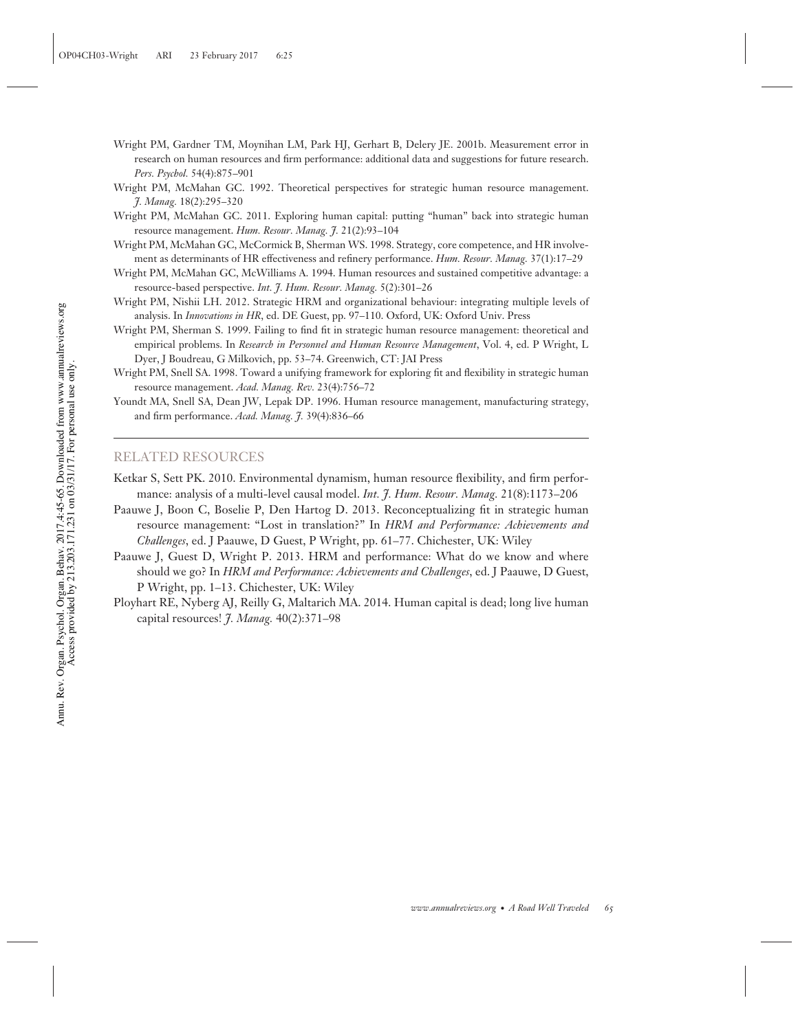- Wright PM, Gardner TM, Moynihan LM, Park HJ, Gerhart B, Delery JE. 2001b. Measurement error in research on human resources and firm performance: additional data and suggestions for future research. *Pers. Psychol.* 54(4):875–901
- Wright PM, McMahan GC. 1992. Theoretical perspectives for strategic human resource management. *J. Manag.* 18(2):295–320
- Wright PM, McMahan GC. 2011. Exploring human capital: putting "human" back into strategic human resource management. *Hum. Resour. Manag. J.* 21(2):93–104
- Wright PM, McMahan GC, McCormick B, Sherman WS. 1998. Strategy, core competence, and HR involvement as determinants of HR effectiveness and refinery performance. *Hum. Resour. Manag.* 37(1):17–29
- Wright PM, McMahan GC, McWilliams A. 1994. Human resources and sustained competitive advantage: a resource-based perspective. *Int. J. Hum. Resour. Manag.* 5(2):301–26
- Wright PM, Nishii LH. 2012. Strategic HRM and organizational behaviour: integrating multiple levels of analysis. In *Innovations in HR*, ed. DE Guest, pp. 97–110. Oxford, UK: Oxford Univ. Press
- Wright PM, Sherman S. 1999. Failing to find fit in strategic human resource management: theoretical and empirical problems. In *Research in Personnel and Human Resource Management*, Vol. 4, ed. P Wright, L Dyer, J Boudreau, G Milkovich, pp. 53–74. Greenwich, CT: JAI Press
- Wright PM, Snell SA. 1998. Toward a unifying framework for exploring fit and flexibility in strategic human resource management. *Acad. Manag. Rev.* 23(4):756–72
- Youndt MA, Snell SA, Dean JW, Lepak DP. 1996. Human resource management, manufacturing strategy, and firm performance. *Acad. Manag. J.* 39(4):836–66

#### RELATED RESOURCES

- Ketkar S, Sett PK. 2010. Environmental dynamism, human resource flexibility, and firm performance: analysis of a multi-level causal model. *Int. J. Hum. Resour. Manag.* 21(8):1173–206
- Paauwe J, Boon C, Boselie P, Den Hartog D. 2013. Reconceptualizing fit in strategic human resource management: "Lost in translation?" In *HRM and Performance: Achievements and Challenges*, ed. J Paauwe, D Guest, P Wright, pp. 61–77. Chichester, UK: Wiley
- Paauwe J, Guest D, Wright P. 2013. HRM and performance: What do we know and where should we go? In *HRM and Performance: Achievements and Challenges*, ed. J Paauwe, D Guest, P Wright, pp. 1–13. Chichester, UK: Wiley
- Ployhart RE, Nyberg AJ, Reilly G, Maltarich MA. 2014. Human capital is dead; long live human capital resources! *J. Manag.* 40(2):371–98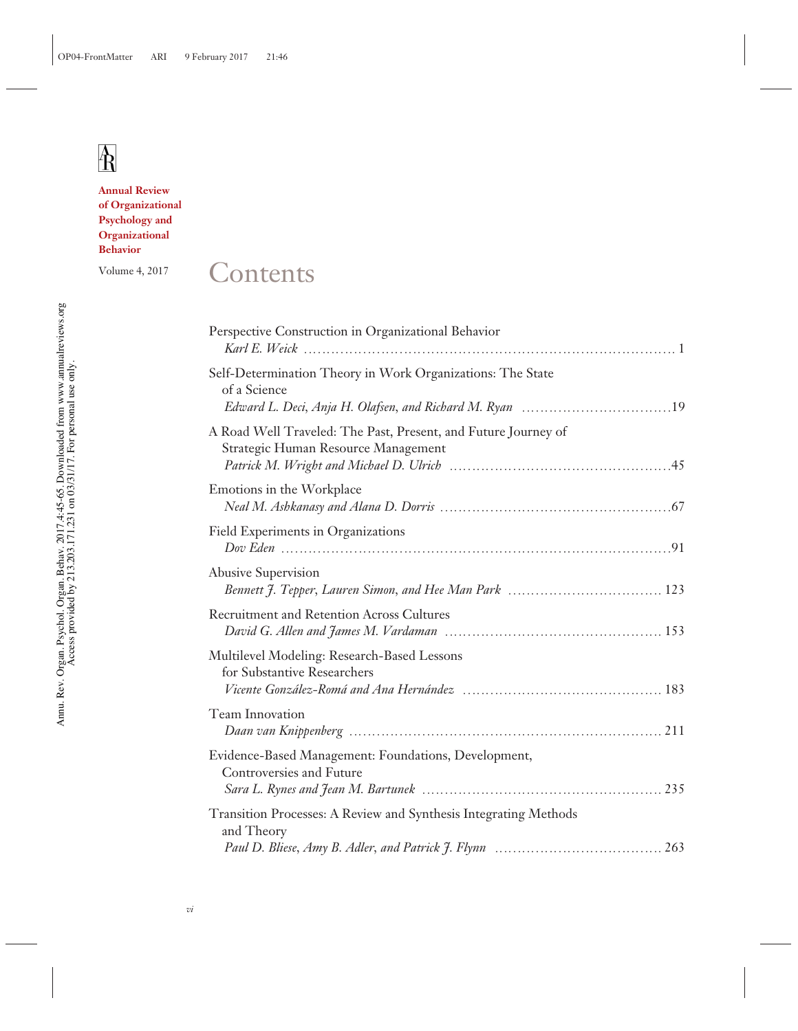#### **Annual Review of Organizational Psychology and Organizational Behavior**

## Volume 4, 2017 Contents